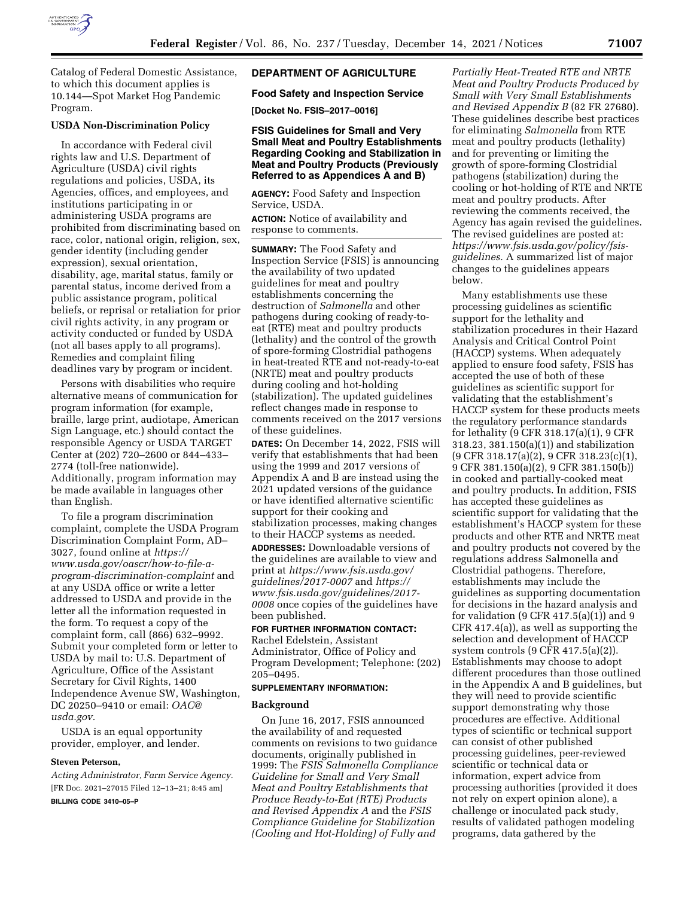

Catalog of Federal Domestic Assistance, to which this document applies is 10.144—Spot Market Hog Pandemic Program.

# **USDA Non-Discrimination Policy**

In accordance with Federal civil rights law and U.S. Department of Agriculture (USDA) civil rights regulations and policies, USDA, its Agencies, offices, and employees, and institutions participating in or administering USDA programs are prohibited from discriminating based on race, color, national origin, religion, sex, gender identity (including gender expression), sexual orientation, disability, age, marital status, family or parental status, income derived from a public assistance program, political beliefs, or reprisal or retaliation for prior civil rights activity, in any program or activity conducted or funded by USDA (not all bases apply to all programs). Remedies and complaint filing deadlines vary by program or incident.

Persons with disabilities who require alternative means of communication for program information (for example, braille, large print, audiotape, American Sign Language, etc.) should contact the responsible Agency or USDA TARGET Center at (202) 720–2600 or 844–433– 2774 (toll-free nationwide). Additionally, program information may be made available in languages other than English.

To file a program discrimination complaint, complete the USDA Program Discrimination Complaint Form, AD– 3027, found online at *[https://](https://www.usda.gov/oascr/how-to-file-a-program-discrimination-complaint) [www.usda.gov/oascr/how-to-file-a](https://www.usda.gov/oascr/how-to-file-a-program-discrimination-complaint)[program-discrimination-complaint](https://www.usda.gov/oascr/how-to-file-a-program-discrimination-complaint)* and at any USDA office or write a letter addressed to USDA and provide in the letter all the information requested in the form. To request a copy of the complaint form, call (866) 632–9992. Submit your completed form or letter to USDA by mail to: U.S. Department of Agriculture, Office of the Assistant Secretary for Civil Rights, 1400 Independence Avenue SW, Washington, DC 20250–9410 or email: *[OAC@](mailto:OAC@usda.gov) [usda.gov.](mailto:OAC@usda.gov)* 

USDA is an equal opportunity provider, employer, and lender.

#### **Steven Peterson,**

*Acting Administrator, Farm Service Agency.*  [FR Doc. 2021–27015 Filed 12–13–21; 8:45 am] **BILLING CODE 3410–05–P** 

# **DEPARTMENT OF AGRICULTURE**

## **Food Safety and Inspection Service**

**[Docket No. FSIS–2017–0016]** 

# **FSIS Guidelines for Small and Very Small Meat and Poultry Establishments Regarding Cooking and Stabilization in Meat and Poultry Products (Previously Referred to as Appendices A and B)**

**AGENCY:** Food Safety and Inspection Service, USDA.

**ACTION:** Notice of availability and response to comments.

**SUMMARY:** The Food Safety and Inspection Service (FSIS) is announcing the availability of two updated guidelines for meat and poultry establishments concerning the destruction of *Salmonella* and other pathogens during cooking of ready-toeat (RTE) meat and poultry products (lethality) and the control of the growth of spore-forming Clostridial pathogens in heat-treated RTE and not-ready-to-eat (NRTE) meat and poultry products during cooling and hot-holding (stabilization). The updated guidelines reflect changes made in response to comments received on the 2017 versions of these guidelines.

**DATES:** On December 14, 2022, FSIS will verify that establishments that had been using the 1999 and 2017 versions of Appendix A and B are instead using the 2021 updated versions of the guidance or have identified alternative scientific support for their cooking and stabilization processes, making changes to their HACCP systems as needed.

**ADDRESSES:** Downloadable versions of the guidelines are available to view and print at *[https://www.fsis.usda.gov/](https://www.fsis.usda.gov/guidelines/2017-0007)  [guidelines/2017-0007](https://www.fsis.usda.gov/guidelines/2017-0007)* and *[https://](https://www.fsis.usda.gov/guidelines/2017-0008) [www.fsis.usda.gov/guidelines/2017-](https://www.fsis.usda.gov/guidelines/2017-0008)  [0008](https://www.fsis.usda.gov/guidelines/2017-0008)* once copies of the guidelines have been published.

# **FOR FURTHER INFORMATION CONTACT:**

Rachel Edelstein, Assistant Administrator, Office of Policy and Program Development; Telephone: (202) 205–0495.

# **SUPPLEMENTARY INFORMATION:**

## **Background**

On June 16, 2017, FSIS announced the availability of and requested comments on revisions to two guidance documents, originally published in 1999: The *FSIS Salmonella Compliance Guideline for Small and Very Small Meat and Poultry Establishments that Produce Ready-to-Eat (RTE) Products and Revised Appendix A* and the *FSIS Compliance Guideline for Stabilization (Cooling and Hot-Holding) of Fully and* 

*Partially Heat-Treated RTE and NRTE Meat and Poultry Products Produced by Small with Very Small Establishments and Revised Appendix B* (82 FR 27680). These guidelines describe best practices for eliminating *Salmonella* from RTE meat and poultry products (lethality) and for preventing or limiting the growth of spore-forming Clostridial pathogens (stabilization) during the cooling or hot-holding of RTE and NRTE meat and poultry products. After reviewing the comments received, the Agency has again revised the guidelines. The revised guidelines are posted at: *[https://www.fsis.usda.gov/policy/fsis](https://www.fsis.usda.gov/policy/fsis-guidelines)[guidelines.](https://www.fsis.usda.gov/policy/fsis-guidelines)* A summarized list of major changes to the guidelines appears below.

Many establishments use these processing guidelines as scientific support for the lethality and stabilization procedures in their Hazard Analysis and Critical Control Point (HACCP) systems. When adequately applied to ensure food safety, FSIS has accepted the use of both of these guidelines as scientific support for validating that the establishment's HACCP system for these products meets the regulatory performance standards for lethality (9 CFR 318.17(a)(1), 9 CFR 318.23, 381.150(a)(1)) and stabilization (9 CFR 318.17(a)(2), 9 CFR 318.23(c)(1), 9 CFR 381.150(a)(2), 9 CFR 381.150(b)) in cooked and partially-cooked meat and poultry products. In addition, FSIS has accepted these guidelines as scientific support for validating that the establishment's HACCP system for these products and other RTE and NRTE meat and poultry products not covered by the regulations address Salmonella and Clostridial pathogens. Therefore, establishments may include the guidelines as supporting documentation for decisions in the hazard analysis and for validation  $(9$  CFR 417.5(a)(1)) and  $9$ CFR 417.4(a)), as well as supporting the selection and development of HACCP system controls (9 CFR 417.5(a)(2)). Establishments may choose to adopt different procedures than those outlined in the Appendix A and B guidelines, but they will need to provide scientific support demonstrating why those procedures are effective. Additional types of scientific or technical support can consist of other published processing guidelines, peer-reviewed scientific or technical data or information, expert advice from processing authorities (provided it does not rely on expert opinion alone), a challenge or inoculated pack study, results of validated pathogen modeling programs, data gathered by the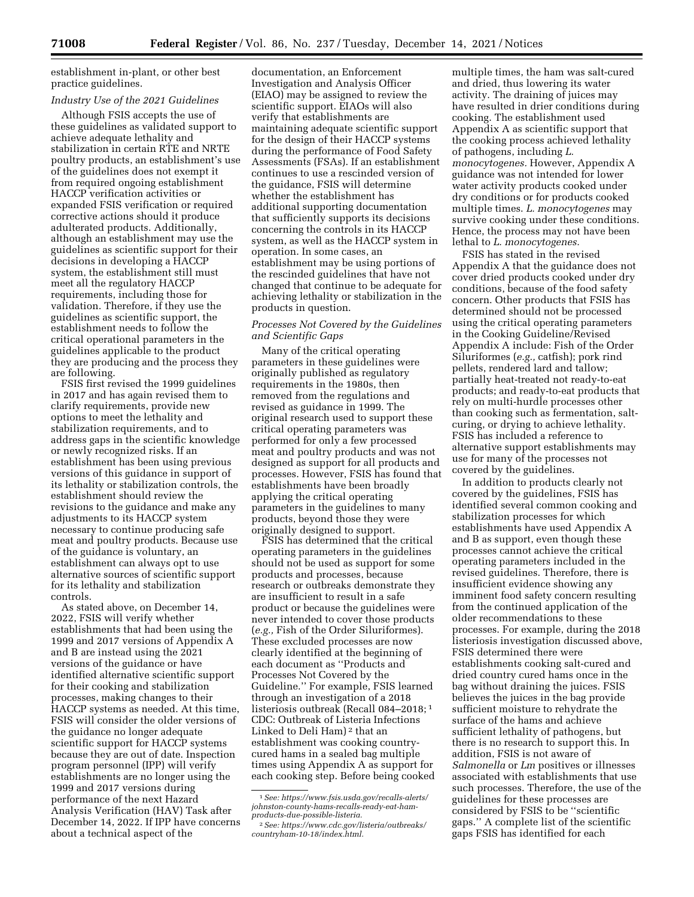establishment in-plant, or other best practice guidelines.

# *Industry Use of the 2021 Guidelines*

Although FSIS accepts the use of these guidelines as validated support to achieve adequate lethality and stabilization in certain RTE and NRTE poultry products, an establishment's use of the guidelines does not exempt it from required ongoing establishment HACCP verification activities or expanded FSIS verification or required corrective actions should it produce adulterated products. Additionally, although an establishment may use the guidelines as scientific support for their decisions in developing a HACCP system, the establishment still must meet all the regulatory HACCP requirements, including those for validation. Therefore, if they use the guidelines as scientific support, the establishment needs to follow the critical operational parameters in the guidelines applicable to the product they are producing and the process they are following.

FSIS first revised the 1999 guidelines in 2017 and has again revised them to clarify requirements, provide new options to meet the lethality and stabilization requirements, and to address gaps in the scientific knowledge or newly recognized risks. If an establishment has been using previous versions of this guidance in support of its lethality or stabilization controls, the establishment should review the revisions to the guidance and make any adjustments to its HACCP system necessary to continue producing safe meat and poultry products. Because use of the guidance is voluntary, an establishment can always opt to use alternative sources of scientific support for its lethality and stabilization controls.

As stated above, on December 14, 2022, FSIS will verify whether establishments that had been using the 1999 and 2017 versions of Appendix A and B are instead using the 2021 versions of the guidance or have identified alternative scientific support for their cooking and stabilization processes, making changes to their HACCP systems as needed. At this time, FSIS will consider the older versions of the guidance no longer adequate scientific support for HACCP systems because they are out of date. Inspection program personnel (IPP) will verify establishments are no longer using the 1999 and 2017 versions during performance of the next Hazard Analysis Verification (HAV) Task after December 14, 2022. If IPP have concerns about a technical aspect of the

documentation, an Enforcement Investigation and Analysis Officer (EIAO) may be assigned to review the scientific support. EIAOs will also verify that establishments are maintaining adequate scientific support for the design of their HACCP systems during the performance of Food Safety Assessments (FSAs). If an establishment continues to use a rescinded version of the guidance, FSIS will determine whether the establishment has additional supporting documentation that sufficiently supports its decisions concerning the controls in its HACCP system, as well as the HACCP system in operation. In some cases, an establishment may be using portions of the rescinded guidelines that have not changed that continue to be adequate for achieving lethality or stabilization in the products in question.

# *Processes Not Covered by the Guidelines and Scientific Gaps*

Many of the critical operating parameters in these guidelines were originally published as regulatory requirements in the 1980s, then removed from the regulations and revised as guidance in 1999. The original research used to support these critical operating parameters was performed for only a few processed meat and poultry products and was not designed as support for all products and processes. However, FSIS has found that establishments have been broadly applying the critical operating parameters in the guidelines to many products, beyond those they were originally designed to support.

FSIS has determined that the critical operating parameters in the guidelines should not be used as support for some products and processes, because research or outbreaks demonstrate they are insufficient to result in a safe product or because the guidelines were never intended to cover those products (*e.g.,* Fish of the Order Siluriformes). These excluded processes are now clearly identified at the beginning of each document as ''Products and Processes Not Covered by the Guideline.'' For example, FSIS learned through an investigation of a 2018 listeriosis outbreak (Recall 084–2018; 1 CDC: Outbreak of Listeria Infections Linked to Deli Ham) 2 that an establishment was cooking countrycured hams in a sealed bag multiple times using Appendix A as support for each cooking step. Before being cooked multiple times, the ham was salt-cured and dried, thus lowering its water activity. The draining of juices may have resulted in drier conditions during cooking. The establishment used Appendix A as scientific support that the cooking process achieved lethality of pathogens, including *L. monocytogenes.* However, Appendix A guidance was not intended for lower water activity products cooked under dry conditions or for products cooked multiple times. *L. monocytogenes* may survive cooking under these conditions. Hence, the process may not have been lethal to *L. monocytogenes.* 

FSIS has stated in the revised Appendix A that the guidance does not cover dried products cooked under dry conditions, because of the food safety concern. Other products that FSIS has determined should not be processed using the critical operating parameters in the Cooking Guideline/Revised Appendix A include: Fish of the Order Siluriformes (*e.g.,* catfish); pork rind pellets, rendered lard and tallow; partially heat-treated not ready-to-eat products; and ready-to-eat products that rely on multi-hurdle processes other than cooking such as fermentation, saltcuring, or drying to achieve lethality. FSIS has included a reference to alternative support establishments may use for many of the processes not covered by the guidelines.

In addition to products clearly not covered by the guidelines, FSIS has identified several common cooking and stabilization processes for which establishments have used Appendix A and B as support, even though these processes cannot achieve the critical operating parameters included in the revised guidelines. Therefore, there is insufficient evidence showing any imminent food safety concern resulting from the continued application of the older recommendations to these processes. For example, during the 2018 listeriosis investigation discussed above, FSIS determined there were establishments cooking salt-cured and dried country cured hams once in the bag without draining the juices. FSIS believes the juices in the bag provide sufficient moisture to rehydrate the surface of the hams and achieve sufficient lethality of pathogens, but there is no research to support this. In addition, FSIS is not aware of *Salmonella* or *Lm* positives or illnesses associated with establishments that use such processes. Therefore, the use of the guidelines for these processes are considered by FSIS to be ''scientific gaps.'' A complete list of the scientific gaps FSIS has identified for each

<sup>1</sup>*See: [https://www.fsis.usda.gov/recalls-alerts/](https://www.fsis.usda.gov/recalls-alerts/johnston-county-hams-recalls-ready-eat-ham-products-due-possible-listeria)  [johnston-county-hams-recalls-ready-eat-ham](https://www.fsis.usda.gov/recalls-alerts/johnston-county-hams-recalls-ready-eat-ham-products-due-possible-listeria)[products-due-possible-listeria.](https://www.fsis.usda.gov/recalls-alerts/johnston-county-hams-recalls-ready-eat-ham-products-due-possible-listeria)* 

<sup>2</sup>*See: [https://www.cdc.gov/listeria/outbreaks/](https://www.cdc.gov/listeria/outbreaks/countryham-10-18/index.html) [countryham-10-18/index.html.](https://www.cdc.gov/listeria/outbreaks/countryham-10-18/index.html)*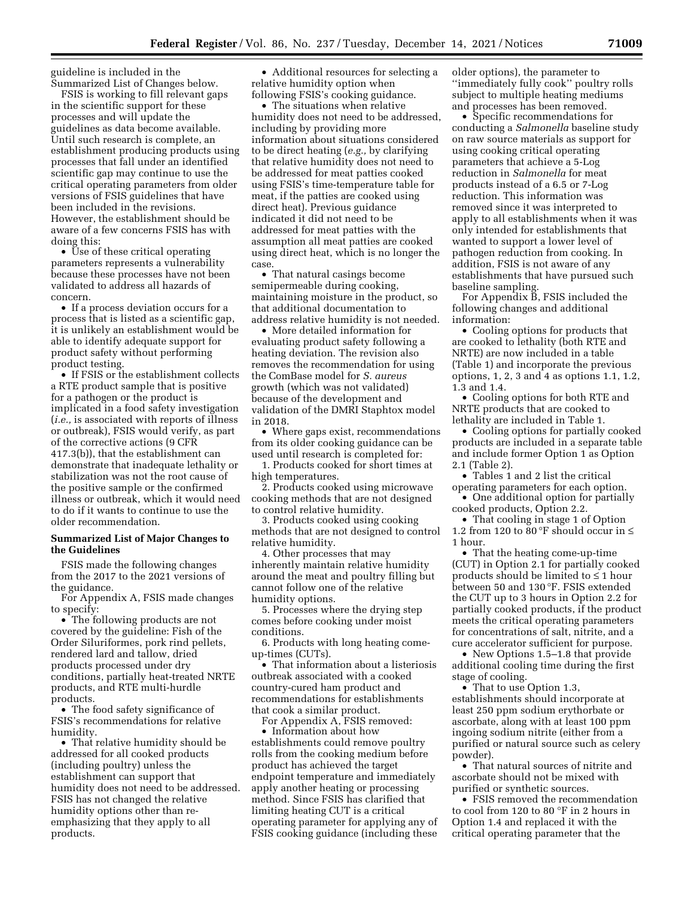guideline is included in the Summarized List of Changes below.

FSIS is working to fill relevant gaps in the scientific support for these processes and will update the guidelines as data become available. Until such research is complete, an establishment producing products using processes that fall under an identified scientific gap may continue to use the critical operating parameters from older versions of FSIS guidelines that have been included in the revisions. However, the establishment should be aware of a few concerns FSIS has with doing this:

• Use of these critical operating parameters represents a vulnerability because these processes have not been validated to address all hazards of concern.

• If a process deviation occurs for a process that is listed as a scientific gap, it is unlikely an establishment would be able to identify adequate support for product safety without performing product testing.

• If FSIS or the establishment collects a RTE product sample that is positive for a pathogen or the product is implicated in a food safety investigation (*i.e.,* is associated with reports of illness or outbreak), FSIS would verify, as part of the corrective actions (9 CFR 417.3(b)), that the establishment can demonstrate that inadequate lethality or stabilization was not the root cause of the positive sample or the confirmed illness or outbreak, which it would need to do if it wants to continue to use the older recommendation.

# **Summarized List of Major Changes to the Guidelines**

FSIS made the following changes from the 2017 to the 2021 versions of the guidance.

For Appendix A, FSIS made changes to specify:

• The following products are not covered by the guideline: Fish of the Order Siluriformes, pork rind pellets, rendered lard and tallow, dried products processed under dry conditions, partially heat-treated NRTE products, and RTE multi-hurdle products.

• The food safety significance of FSIS's recommendations for relative humidity.

• That relative humidity should be addressed for all cooked products (including poultry) unless the establishment can support that humidity does not need to be addressed. FSIS has not changed the relative humidity options other than reemphasizing that they apply to all products.

• Additional resources for selecting a relative humidity option when following FSIS's cooking guidance.

• The situations when relative humidity does not need to be addressed, including by providing more information about situations considered to be direct heating (*e.g.,* by clarifying that relative humidity does not need to be addressed for meat patties cooked using FSIS's time-temperature table for meat, if the patties are cooked using direct heat). Previous guidance indicated it did not need to be addressed for meat patties with the assumption all meat patties are cooked using direct heat, which is no longer the case.

• That natural casings become semipermeable during cooking, maintaining moisture in the product, so that additional documentation to address relative humidity is not needed.

• More detailed information for evaluating product safety following a heating deviation. The revision also removes the recommendation for using the ComBase model for *S. aureus*  growth (which was not validated) because of the development and validation of the DMRI Staphtox model in 2018.

• Where gaps exist, recommendations from its older cooking guidance can be used until research is completed for:

1. Products cooked for short times at high temperatures.

2. Products cooked using microwave cooking methods that are not designed to control relative humidity.

3. Products cooked using cooking methods that are not designed to control relative humidity.

4. Other processes that may inherently maintain relative humidity around the meat and poultry filling but cannot follow one of the relative humidity options.

5. Processes where the drying step comes before cooking under moist conditions.

6. Products with long heating comeup-times (CUTs).

• That information about a listeriosis outbreak associated with a cooked country-cured ham product and recommendations for establishments that cook a similar product.

For Appendix A, FSIS removed:

• Information about how establishments could remove poultry rolls from the cooking medium before product has achieved the target endpoint temperature and immediately apply another heating or processing method. Since FSIS has clarified that limiting heating CUT is a critical operating parameter for applying any of FSIS cooking guidance (including these older options), the parameter to ''immediately fully cook'' poultry rolls subject to multiple heating mediums and processes has been removed.

• Specific recommendations for conducting a *Salmonella* baseline study on raw source materials as support for using cooking critical operating parameters that achieve a 5-Log reduction in *Salmonella* for meat products instead of a 6.5 or 7-Log reduction. This information was removed since it was interpreted to apply to all establishments when it was only intended for establishments that wanted to support a lower level of pathogen reduction from cooking. In addition, FSIS is not aware of any establishments that have pursued such baseline sampling.

For Appendix B, FSIS included the following changes and additional information:

• Cooling options for products that are cooked to lethality (both RTE and NRTE) are now included in a table (Table 1) and incorporate the previous options, 1, 2, 3 and 4 as options 1.1, 1.2, 1.3 and 1.4.

• Cooling options for both RTE and NRTE products that are cooked to lethality are included in Table 1.

• Cooling options for partially cooked products are included in a separate table and include former Option 1 as Option 2.1 (Table 2).

• Tables 1 and 2 list the critical operating parameters for each option.

• One additional option for partially cooked products, Option 2.2.

• That cooling in stage 1 of Option 1.2 from 120 to 80 °F should occur in  $\leq$ 1 hour.

• That the heating come-up-time (CUT) in Option 2.1 for partially cooked products should be limited to ≤ 1 hour between 50 and 130 °F. FSIS extended the CUT up to 3 hours in Option 2.2 for partially cooked products, if the product meets the critical operating parameters for concentrations of salt, nitrite, and a cure accelerator sufficient for purpose.

• New Options 1.5–1.8 that provide additional cooling time during the first stage of cooling.

• That to use Option 1.3,

establishments should incorporate at least 250 ppm sodium erythorbate or ascorbate, along with at least 100 ppm ingoing sodium nitrite (either from a purified or natural source such as celery powder).

• That natural sources of nitrite and ascorbate should not be mixed with purified or synthetic sources.

• FSIS removed the recommendation to cool from 120 to 80 °F in 2 hours in Option 1.4 and replaced it with the critical operating parameter that the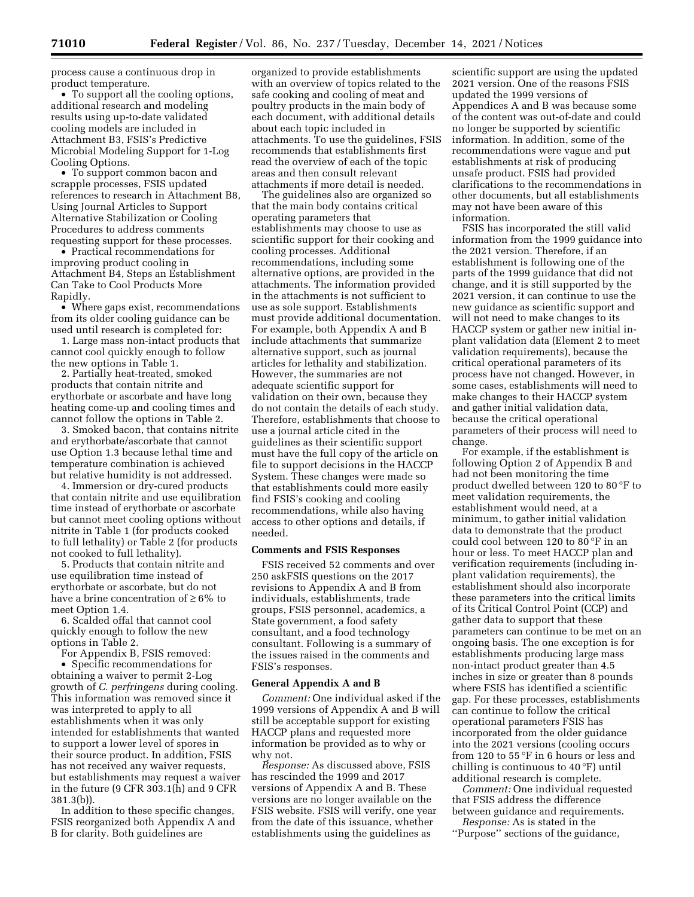process cause a continuous drop in product temperature.

• To support all the cooling options, additional research and modeling results using up-to-date validated cooling models are included in Attachment B3, FSIS's Predictive Microbial Modeling Support for 1-Log Cooling Options.

• To support common bacon and scrapple processes, FSIS updated references to research in Attachment B8, Using Journal Articles to Support Alternative Stabilization or Cooling Procedures to address comments requesting support for these processes.

• Practical recommendations for improving product cooling in Attachment B4, Steps an Establishment Can Take to Cool Products More Rapidly.

• Where gaps exist, recommendations from its older cooling guidance can be used until research is completed for:

1. Large mass non-intact products that cannot cool quickly enough to follow the new options in Table 1.

2. Partially heat-treated, smoked products that contain nitrite and erythorbate or ascorbate and have long heating come-up and cooling times and cannot follow the options in Table 2.

3. Smoked bacon, that contains nitrite and erythorbate/ascorbate that cannot use Option 1.3 because lethal time and temperature combination is achieved but relative humidity is not addressed.

4. Immersion or dry-cured products that contain nitrite and use equilibration time instead of erythorbate or ascorbate but cannot meet cooling options without nitrite in Table 1 (for products cooked to full lethality) or Table 2 (for products not cooked to full lethality).

5. Products that contain nitrite and use equilibration time instead of erythorbate or ascorbate, but do not have a brine concentration of  $\geq 6\%$  to meet Option 1.4.

6. Scalded offal that cannot cool quickly enough to follow the new options in Table 2.

For Appendix B, FSIS removed: • Specific recommendations for obtaining a waiver to permit 2-Log growth of *C. perfringens* during cooling. This information was removed since it was interpreted to apply to all establishments when it was only intended for establishments that wanted to support a lower level of spores in their source product. In addition, FSIS has not received any waiver requests, but establishments may request a waiver in the future (9 CFR 303.1(h) and 9 CFR 381.3(b)).

In addition to these specific changes, FSIS reorganized both Appendix A and B for clarity. Both guidelines are

organized to provide establishments with an overview of topics related to the safe cooking and cooling of meat and poultry products in the main body of each document, with additional details about each topic included in attachments. To use the guidelines, FSIS recommends that establishments first read the overview of each of the topic areas and then consult relevant attachments if more detail is needed.

The guidelines also are organized so that the main body contains critical operating parameters that establishments may choose to use as scientific support for their cooking and cooling processes. Additional recommendations, including some alternative options, are provided in the attachments. The information provided in the attachments is not sufficient to use as sole support. Establishments must provide additional documentation. For example, both Appendix A and B include attachments that summarize alternative support, such as journal articles for lethality and stabilization. However, the summaries are not adequate scientific support for validation on their own, because they do not contain the details of each study. Therefore, establishments that choose to use a journal article cited in the guidelines as their scientific support must have the full copy of the article on file to support decisions in the HACCP System. These changes were made so that establishments could more easily find FSIS's cooking and cooling recommendations, while also having access to other options and details, if needed.

## **Comments and FSIS Responses**

FSIS received 52 comments and over 250 askFSIS questions on the 2017 revisions to Appendix A and B from individuals, establishments, trade groups, FSIS personnel, academics, a State government, a food safety consultant, and a food technology consultant. Following is a summary of the issues raised in the comments and FSIS's responses.

# **General Appendix A and B**

*Comment:* One individual asked if the 1999 versions of Appendix A and B will still be acceptable support for existing HACCP plans and requested more information be provided as to why or why not.

*Response:* As discussed above, FSIS has rescinded the 1999 and 2017 versions of Appendix A and B. These versions are no longer available on the FSIS website. FSIS will verify, one year from the date of this issuance, whether establishments using the guidelines as

scientific support are using the updated 2021 version. One of the reasons FSIS updated the 1999 versions of Appendices A and B was because some of the content was out-of-date and could no longer be supported by scientific information. In addition, some of the recommendations were vague and put establishments at risk of producing unsafe product. FSIS had provided clarifications to the recommendations in other documents, but all establishments may not have been aware of this information.

FSIS has incorporated the still valid information from the 1999 guidance into the 2021 version. Therefore, if an establishment is following one of the parts of the 1999 guidance that did not change, and it is still supported by the 2021 version, it can continue to use the new guidance as scientific support and will not need to make changes to its HACCP system or gather new initial inplant validation data (Element 2 to meet validation requirements), because the critical operational parameters of its process have not changed. However, in some cases, establishments will need to make changes to their HACCP system and gather initial validation data, because the critical operational parameters of their process will need to change.

For example, if the establishment is following Option 2 of Appendix B and had not been monitoring the time product dwelled between 120 to 80 °F to meet validation requirements, the establishment would need, at a minimum, to gather initial validation data to demonstrate that the product could cool between 120 to 80 °F in an hour or less. To meet HACCP plan and verification requirements (including inplant validation requirements), the establishment should also incorporate these parameters into the critical limits of its Critical Control Point (CCP) and gather data to support that these parameters can continue to be met on an ongoing basis. The one exception is for establishments producing large mass non-intact product greater than 4.5 inches in size or greater than 8 pounds where FSIS has identified a scientific gap. For these processes, establishments can continue to follow the critical operational parameters FSIS has incorporated from the older guidance into the 2021 versions (cooling occurs from 120 to 55 °F in 6 hours or less and chilling is continuous to 40 °F) until additional research is complete.

*Comment:* One individual requested that FSIS address the difference between guidance and requirements.

*Response:* As is stated in the ''Purpose'' sections of the guidance,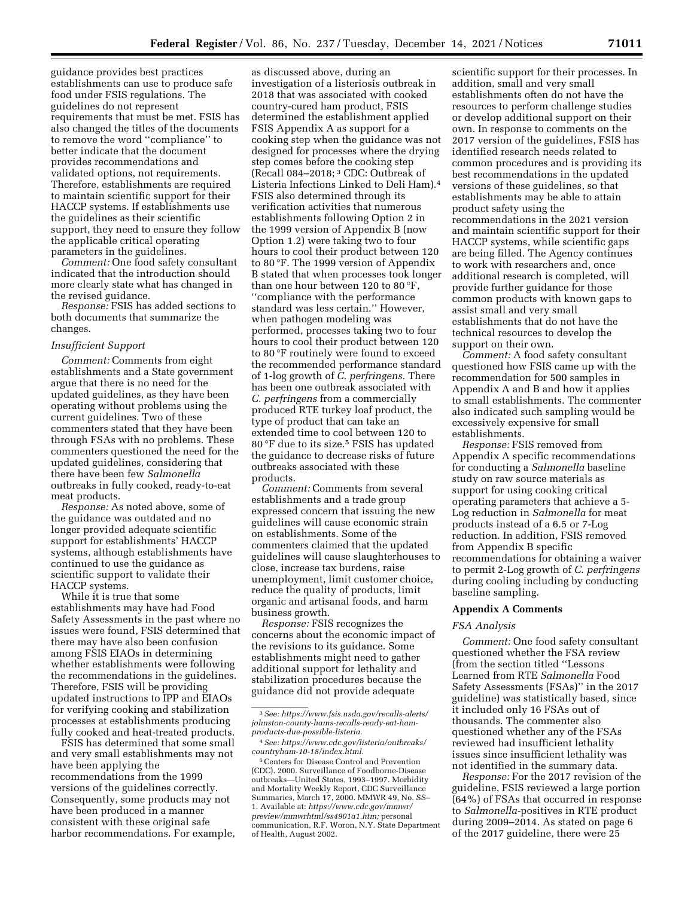guidance provides best practices establishments can use to produce safe food under FSIS regulations. The guidelines do not represent requirements that must be met. FSIS has also changed the titles of the documents to remove the word ''compliance'' to better indicate that the document provides recommendations and validated options, not requirements. Therefore, establishments are required to maintain scientific support for their HACCP systems. If establishments use the guidelines as their scientific support, they need to ensure they follow the applicable critical operating parameters in the guidelines.

*Comment:* One food safety consultant indicated that the introduction should more clearly state what has changed in the revised guidance.

*Response:* FSIS has added sections to both documents that summarize the changes.

#### *Insufficient Support*

*Comment:* Comments from eight establishments and a State government argue that there is no need for the updated guidelines, as they have been operating without problems using the current guidelines. Two of these commenters stated that they have been through FSAs with no problems. These commenters questioned the need for the updated guidelines, considering that there have been few *Salmonella*  outbreaks in fully cooked, ready-to-eat meat products.

*Response:* As noted above, some of the guidance was outdated and no longer provided adequate scientific support for establishments' HACCP systems, although establishments have continued to use the guidance as scientific support to validate their HACCP systems.

While it is true that some establishments may have had Food Safety Assessments in the past where no issues were found, FSIS determined that there may have also been confusion among FSIS EIAOs in determining whether establishments were following the recommendations in the guidelines. Therefore, FSIS will be providing updated instructions to IPP and EIAOs for verifying cooking and stabilization processes at establishments producing fully cooked and heat-treated products.

FSIS has determined that some small and very small establishments may not have been applying the recommendations from the 1999 versions of the guidelines correctly. Consequently, some products may not have been produced in a manner consistent with these original safe harbor recommendations. For example,

as discussed above, during an investigation of a listeriosis outbreak in 2018 that was associated with cooked country-cured ham product, FSIS determined the establishment applied FSIS Appendix A as support for a cooking step when the guidance was not designed for processes where the drying step comes before the cooking step (Recall 084–2018; 3 CDC: Outbreak of Listeria Infections Linked to Deli Ham).4 FSIS also determined through its verification activities that numerous establishments following Option 2 in the 1999 version of Appendix B (now Option 1.2) were taking two to four hours to cool their product between 120 to 80 °F. The 1999 version of Appendix B stated that when processes took longer than one hour between 120 to 80 °F, ''compliance with the performance standard was less certain.'' However, when pathogen modeling was performed, processes taking two to four hours to cool their product between 120 to 80 °F routinely were found to exceed the recommended performance standard of 1-log growth of *C. perfringens.* There has been one outbreak associated with *C. perfringens* from a commercially produced RTE turkey loaf product, the type of product that can take an extended time to cool between 120 to 80 °F due to its size.<sup>5</sup> FSIS has updated the guidance to decrease risks of future outbreaks associated with these products.

*Comment:* Comments from several establishments and a trade group expressed concern that issuing the new guidelines will cause economic strain on establishments. Some of the commenters claimed that the updated guidelines will cause slaughterhouses to close, increase tax burdens, raise unemployment, limit customer choice, reduce the quality of products, limit organic and artisanal foods, and harm business growth.

*Response:* FSIS recognizes the concerns about the economic impact of the revisions to its guidance. Some establishments might need to gather additional support for lethality and stabilization procedures because the guidance did not provide adequate

scientific support for their processes. In addition, small and very small establishments often do not have the resources to perform challenge studies or develop additional support on their own. In response to comments on the 2017 version of the guidelines, FSIS has identified research needs related to common procedures and is providing its best recommendations in the updated versions of these guidelines, so that establishments may be able to attain product safety using the recommendations in the 2021 version and maintain scientific support for their HACCP systems, while scientific gaps are being filled. The Agency continues to work with researchers and, once additional research is completed, will provide further guidance for those common products with known gaps to assist small and very small establishments that do not have the technical resources to develop the support on their own.

*Comment:* A food safety consultant questioned how FSIS came up with the recommendation for 500 samples in Appendix A and B and how it applies to small establishments. The commenter also indicated such sampling would be excessively expensive for small establishments.

*Response:* FSIS removed from Appendix A specific recommendations for conducting a *Salmonella* baseline study on raw source materials as support for using cooking critical operating parameters that achieve a 5- Log reduction in *Salmonella* for meat products instead of a 6.5 or 7-Log reduction. In addition, FSIS removed from Appendix B specific recommendations for obtaining a waiver to permit 2-Log growth of *C. perfringens*  during cooling including by conducting baseline sampling.

# **Appendix A Comments**

#### *FSA Analysis*

*Comment:* One food safety consultant questioned whether the FSA review (from the section titled ''Lessons Learned from RTE *Salmonella* Food Safety Assessments (FSAs)'' in the 2017 guideline) was statistically based, since it included only 16 FSAs out of thousands. The commenter also questioned whether any of the FSAs reviewed had insufficient lethality issues since insufficient lethality was not identified in the summary data.

*Response:* For the 2017 revision of the guideline, FSIS reviewed a large portion (64%) of FSAs that occurred in response to *Salmonella-*positives in RTE product during 2009–2014. As stated on page 6 of the 2017 guideline, there were 25

<sup>3</sup>*See: [https://www.fsis.usda.gov/recalls-alerts/](https://www.fsis.usda.gov/recalls-alerts/johnston-county-hams-recalls-ready-eat-ham-products-due-possible-listeria)  [johnston-county-hams-recalls-ready-eat-ham](https://www.fsis.usda.gov/recalls-alerts/johnston-county-hams-recalls-ready-eat-ham-products-due-possible-listeria)[products-due-possible-listeria.](https://www.fsis.usda.gov/recalls-alerts/johnston-county-hams-recalls-ready-eat-ham-products-due-possible-listeria)* 

<sup>4</sup>*See: [https://www.cdc.gov/listeria/outbreaks/](https://www.cdc.gov/listeria/outbreaks/countryham-10-18/index.html) [countryham-10-18/index.html.](https://www.cdc.gov/listeria/outbreaks/countryham-10-18/index.html)* 

<sup>5</sup>Centers for Disease Control and Prevention (CDC). 2000. Surveillance of Foodborne-Disease outbreaks—United States, 1993–1997. Morbidity and Mortality Weekly Report, CDC Surveillance Summaries, March 17, 2000. MMWR 49, No. SS– 1. Available at: *[https://www.cdc.gov/mmwr/](https://www.cdc.gov/mmwr/preview/mmwrhtml/ss4901a1.htm)  [preview/mmwrhtml/ss4901a1.htm;](https://www.cdc.gov/mmwr/preview/mmwrhtml/ss4901a1.htm)* personal communication, R.F. Woron, N.Y. State Department of Health, August 2002.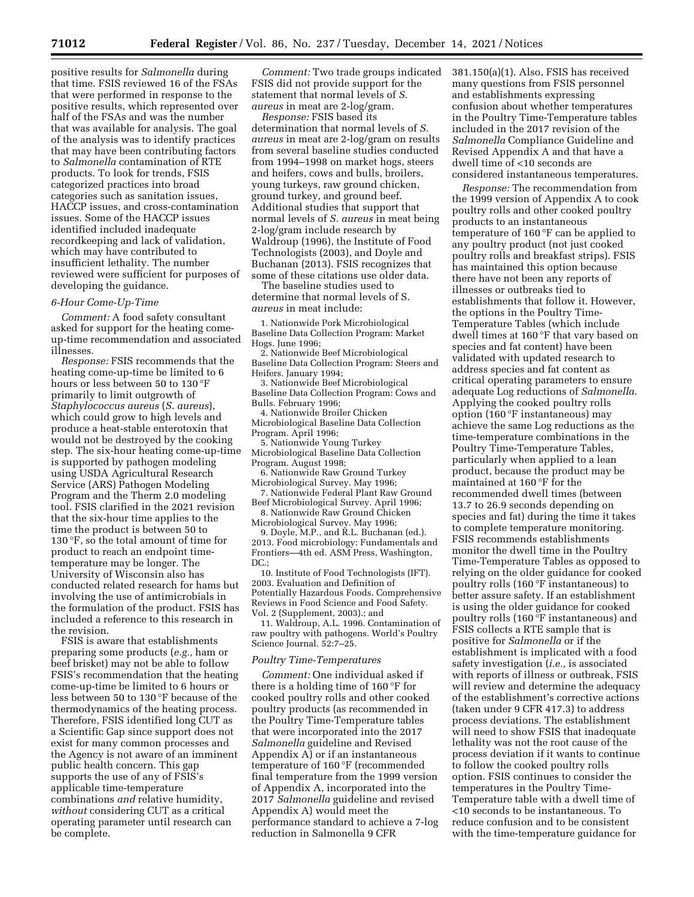positive results for *Salmonella* during that time. FSIS reviewed 16 of the FSAs that were performed in response to the positive results, which represented over half of the FSAs and was the number that was available for analysis. The goal of the analysis was to identify practices that may have been contributing factors to *Salmonella* contamination of RTE products. To look for trends, FSIS categorized practices into broad categories such as sanitation issues, HACCP issues, and cross-contamination issues. Some of the HACCP issues identified included inadequate recordkeeping and lack of validation, which may have contributed to insufficient lethality. The number reviewed were sufficient for purposes of developing the guidance.

# *6-Hour Come-Up-Time*

*Comment:* A food safety consultant asked for support for the heating comeup-time recommendation and associated illnesses.

*Response:* FSIS recommends that the heating come-up-time be limited to 6 hours or less between 50 to 130 °F primarily to limit outgrowth of *Staphylococcus aureus* (*S. aureus*), which could grow to high levels and produce a heat-stable enterotoxin that would not be destroyed by the cooking step. The six-hour heating come-up-time is supported by pathogen modeling using USDA Agricultural Research Service (ARS) Pathogen Modeling Program and the Therm 2.0 modeling tool. FSIS clarified in the 2021 revision that the six-hour time applies to the time the product is between 50 to 130 °F, so the total amount of time for product to reach an endpoint timetemperature may be longer. The University of Wisconsin also has conducted related research for hams but involving the use of antimicrobials in the formulation of the product. FSIS has included a reference to this research in the revision.

FSIS is aware that establishments preparing some products (*e.g.,* ham or beef brisket) may not be able to follow FSIS's recommendation that the heating come-up-time be limited to 6 hours or less between 50 to 130 °F because of the thermodynamics of the heating process. Therefore, FSIS identified long CUT as a Scientific Gap since support does not exist for many common processes and the Agency is not aware of an imminent public health concern. This gap supports the use of any of FSIS's applicable time-temperature combinations *and* relative humidity, *without* considering CUT as a critical operating parameter until research can be complete.

*Comment:* Two trade groups indicated FSIS did not provide support for the statement that normal levels of *S. aureus* in meat are 2-log/gram.

*Response:* FSIS based its determination that normal levels of *S. aureus* in meat are 2-log/gram on results from several baseline studies conducted from 1994–1998 on market hogs, steers and heifers, cows and bulls, broilers, young turkeys, raw ground chicken, ground turkey, and ground beef. Additional studies that support that normal levels of *S. aureus* in meat being 2-log/gram include research by Waldroup (1996), the Institute of Food Technologists (2003), and Doyle and Buchanan (2013). FSIS recognizes that some of these citations use older data.

The baseline studies used to determine that normal levels of S. *aureus* in meat include:

1. Nationwide Pork Microbiological Baseline Data Collection Program: Market Hogs. June 1996;

2. Nationwide Beef Microbiological Baseline Data Collection Program: Steers and Heifers. January 1994;

3. Nationwide Beef Microbiological Baseline Data Collection Program: Cows and Bulls. February 1996;

4. Nationwide Broiler Chicken Microbiological Baseline Data Collection Program. April 1996;

5. Nationwide Young Turkey Microbiological Baseline Data Collection Program. August 1998;

6. Nationwide Raw Ground Turkey Microbiological Survey. May 1996;

7. Nationwide Federal Plant Raw Ground Beef Microbiological Survey. April 1996;

8. Nationwide Raw Ground Chicken Microbiological Survey. May 1996;

9. Doyle, M.P., and R.L. Buchanan (ed.). 2013. Food microbiology: Fundamentals and Frontiers—4th ed. ASM Press, Washington, DC.:

10. Institute of Food Technologists (IFT). 2003. Evaluation and Definition of Potentially Hazardous Foods. Comprehensive Reviews in Food Science and Food Safety. Vol. 2 (Supplement, 2003).; and

11. Waldroup, A.L. 1996. Contamination of raw poultry with pathogens. World's Poultry Science Journal. 52:7–25.

#### *Poultry Time-Temperatures*

*Comment:* One individual asked if there is a holding time of 160 °F for cooked poultry rolls and other cooked poultry products (as recommended in the Poultry Time-Temperature tables that were incorporated into the 2017 *Salmonella* guideline and Revised Appendix A) or if an instantaneous temperature of 160 °F (recommended final temperature from the 1999 version of Appendix A, incorporated into the 2017 *Salmonella* guideline and revised Appendix A) would meet the performance standard to achieve a 7-log reduction in Salmonella 9 CFR

381.150(a)(1). Also, FSIS has received many questions from FSIS personnel and establishments expressing confusion about whether temperatures in the Poultry Time-Temperature tables included in the 2017 revision of the *Salmonella* Compliance Guideline and Revised Appendix A and that have a dwell time of <10 seconds are considered instantaneous temperatures.

*Response:* The recommendation from the 1999 version of Appendix A to cook poultry rolls and other cooked poultry products to an instantaneous temperature of 160 °F can be applied to any poultry product (not just cooked poultry rolls and breakfast strips). FSIS has maintained this option because there have not been any reports of illnesses or outbreaks tied to establishments that follow it. However, the options in the Poultry Time-Temperature Tables (which include dwell times at 160 °F that vary based on species and fat content) have been validated with updated research to address species and fat content as critical operating parameters to ensure adequate Log reductions of *Salmonella.*  Applying the cooked poultry rolls option (160 °F instantaneous) may achieve the same Log reductions as the time-temperature combinations in the Poultry Time-Temperature Tables, particularly when applied to a lean product, because the product may be maintained at 160 °F for the recommended dwell times (between 13.7 to 26.9 seconds depending on species and fat) during the time it takes to complete temperature monitoring. FSIS recommends establishments monitor the dwell time in the Poultry Time-Temperature Tables as opposed to relying on the older guidance for cooked poultry rolls (160 °F instantaneous) to better assure safety. If an establishment is using the older guidance for cooked poultry rolls (160 °F instantaneous) and FSIS collects a RTE sample that is positive for *Salmonella* or if the establishment is implicated with a food safety investigation (*i.e.,* is associated with reports of illness or outbreak, FSIS will review and determine the adequacy of the establishment's corrective actions (taken under 9 CFR 417.3) to address process deviations. The establishment will need to show FSIS that inadequate lethality was not the root cause of the process deviation if it wants to continue to follow the cooked poultry rolls option. FSIS continues to consider the temperatures in the Poultry Time-Temperature table with a dwell time of <10 seconds to be instantaneous. To reduce confusion and to be consistent with the time-temperature guidance for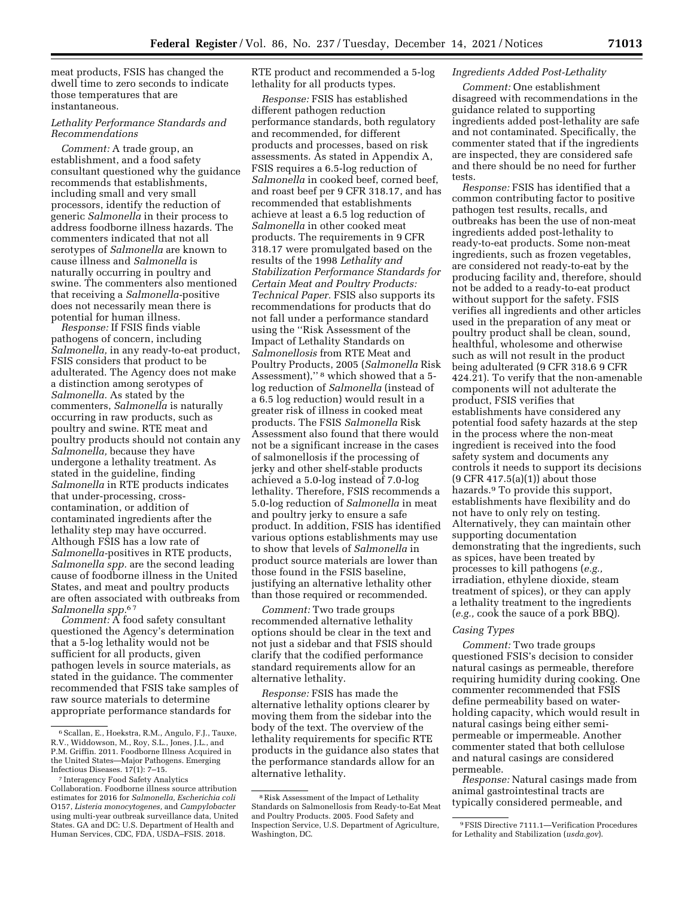meat products, FSIS has changed the dwell time to zero seconds to indicate those temperatures that are instantaneous.

# *Lethality Performance Standards and Recommendations*

*Comment:* A trade group, an establishment, and a food safety consultant questioned why the guidance recommends that establishments, including small and very small processors, identify the reduction of generic *Salmonella* in their process to address foodborne illness hazards. The commenters indicated that not all serotypes of *Salmonella* are known to cause illness and *Salmonella* is naturally occurring in poultry and swine. The commenters also mentioned that receiving a *Salmonella-*positive does not necessarily mean there is potential for human illness.

*Response:* If FSIS finds viable pathogens of concern, including *Salmonella,* in any ready-to-eat product, FSIS considers that product to be adulterated. The Agency does not make a distinction among serotypes of *Salmonella.* As stated by the commenters, *Salmonella* is naturally occurring in raw products, such as poultry and swine. RTE meat and poultry products should not contain any *Salmonella,* because they have undergone a lethality treatment. As stated in the guideline, finding *Salmonella* in RTE products indicates that under-processing, crosscontamination, or addition of contaminated ingredients after the lethality step may have occurred. Although FSIS has a low rate of *Salmonella-*positives in RTE products, *Salmonella spp.* are the second leading cause of foodborne illness in the United States, and meat and poultry products are often associated with outbreaks from *Salmonella spp.*6 7

*Comment:* A food safety consultant questioned the Agency's determination that a 5-log lethality would not be sufficient for all products, given pathogen levels in source materials, as stated in the guidance. The commenter recommended that FSIS take samples of raw source materials to determine appropriate performance standards for

RTE product and recommended a 5-log lethality for all products types.

*Response:* FSIS has established different pathogen reduction performance standards, both regulatory and recommended, for different products and processes, based on risk assessments. As stated in Appendix A, FSIS requires a 6.5-log reduction of *Salmonella* in cooked beef, corned beef, and roast beef per 9 CFR 318.17, and has recommended that establishments achieve at least a 6.5 log reduction of *Salmonella* in other cooked meat products. The requirements in 9 CFR 318.17 were promulgated based on the results of the 1998 *Lethality and Stabilization Performance Standards for Certain Meat and Poultry Products: Technical Paper.* FSIS also supports its recommendations for products that do not fall under a performance standard using the ''Risk Assessment of the Impact of Lethality Standards on *Salmonellosis* from RTE Meat and Poultry Products, 2005 (*Salmonella* Risk Assessment),'' 8 which showed that a 5 log reduction of *Salmonella* (instead of a 6.5 log reduction) would result in a greater risk of illness in cooked meat products. The FSIS *Salmonella* Risk Assessment also found that there would not be a significant increase in the cases of salmonellosis if the processing of jerky and other shelf-stable products achieved a 5.0-log instead of 7.0-log lethality. Therefore, FSIS recommends a 5.0-log reduction of *Salmonella* in meat and poultry jerky to ensure a safe product. In addition, FSIS has identified various options establishments may use to show that levels of *Salmonella* in product source materials are lower than those found in the FSIS baseline, justifying an alternative lethality other than those required or recommended.

*Comment:* Two trade groups recommended alternative lethality options should be clear in the text and not just a sidebar and that FSIS should clarify that the codified performance standard requirements allow for an alternative lethality.

*Response:* FSIS has made the alternative lethality options clearer by moving them from the sidebar into the body of the text. The overview of the lethality requirements for specific RTE products in the guidance also states that the performance standards allow for an alternative lethality.

# *Ingredients Added Post-Lethality*

*Comment:* One establishment disagreed with recommendations in the guidance related to supporting ingredients added post-lethality are safe and not contaminated. Specifically, the commenter stated that if the ingredients are inspected, they are considered safe and there should be no need for further tests.

*Response:* FSIS has identified that a common contributing factor to positive pathogen test results, recalls, and outbreaks has been the use of non-meat ingredients added post-lethality to ready-to-eat products. Some non-meat ingredients, such as frozen vegetables, are considered not ready-to-eat by the producing facility and, therefore, should not be added to a ready-to-eat product without support for the safety. FSIS verifies all ingredients and other articles used in the preparation of any meat or poultry product shall be clean, sound, healthful, wholesome and otherwise such as will not result in the product being adulterated (9 CFR 318.6 9 CFR 424.21). To verify that the non-amenable components will not adulterate the product, FSIS verifies that establishments have considered any potential food safety hazards at the step in the process where the non-meat ingredient is received into the food safety system and documents any controls it needs to support its decisions  $(9$  CFR 417.5(a)(1)) about those hazards.9 To provide this support, establishments have flexibility and do not have to only rely on testing. Alternatively, they can maintain other supporting documentation demonstrating that the ingredients, such as spices, have been treated by processes to kill pathogens (*e.g.,*  irradiation, ethylene dioxide, steam treatment of spices), or they can apply a lethality treatment to the ingredients (*e.g.,* cook the sauce of a pork BBQ).

#### *Casing Types*

*Comment:* Two trade groups questioned FSIS's decision to consider natural casings as permeable, therefore requiring humidity during cooking. One commenter recommended that FSIS define permeability based on waterholding capacity, which would result in natural casings being either semipermeable or impermeable. Another commenter stated that both cellulose and natural casings are considered permeable.

*Response:* Natural casings made from animal gastrointestinal tracts are typically considered permeable, and

 $6$  Scallan, E., Hoekstra, R.M., Angulo, F.J., Tauxe, R.V., Widdowson, M., Roy, S.L., Jones, J.L., and P.M. Griffin. 2011. Foodborne Illness Acquired in the United States—Major Pathogens. Emerging Infectious Diseases. 17(1): 7–15.

<sup>7</sup> Interagency Food Safety Analytics Collaboration. Foodborne illness source attribution estimates for 2016 for *Salmonella, Escherichia coli*  O157, *Listeria monocytogenes,* and *Campylobacter*  using multi-year outbreak surveillance data, United States. GA and DC: U.S. Department of Health and Human Services, CDC, FDA, USDA–FSIS. 2018.

<sup>8</sup>Risk Assessment of the Impact of Lethality Standards on Salmonellosis from Ready-to-Eat Meat and Poultry Products. 2005. Food Safety and Inspection Service, U.S. Department of Agriculture, Washington, DC.

<sup>9</sup>FSIS Directive 7111.1—Verification Procedures for Lethality and Stabilization (*usda.gov*).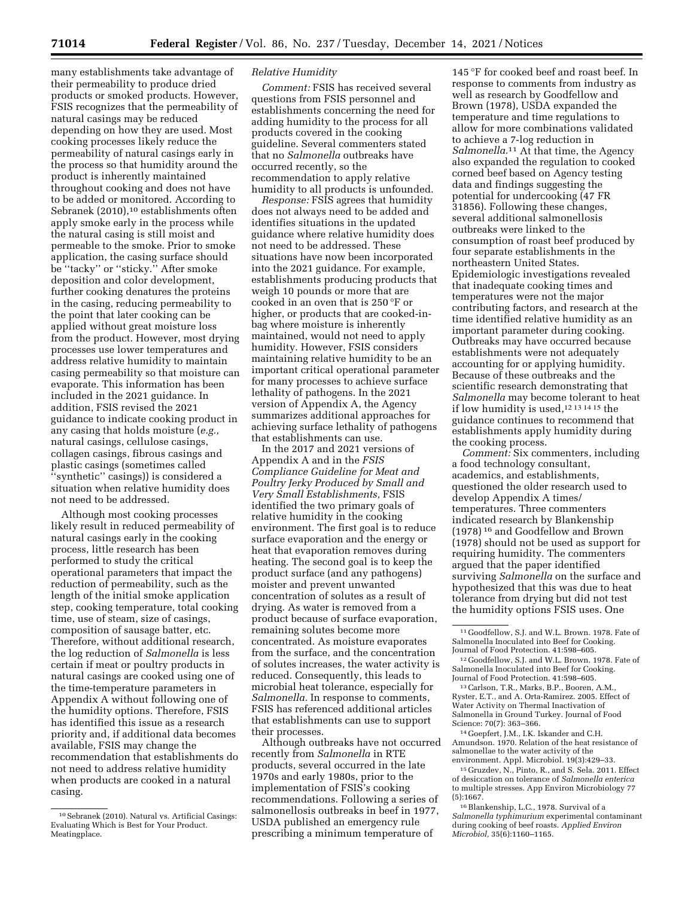many establishments take advantage of their permeability to produce dried products or smoked products. However, FSIS recognizes that the permeability of natural casings may be reduced depending on how they are used. Most cooking processes likely reduce the permeability of natural casings early in the process so that humidity around the product is inherently maintained throughout cooking and does not have to be added or monitored. According to Sebranek (2010),<sup>10</sup> establishments often apply smoke early in the process while the natural casing is still moist and permeable to the smoke. Prior to smoke application, the casing surface should be ''tacky'' or ''sticky.'' After smoke deposition and color development, further cooking denatures the proteins in the casing, reducing permeability to the point that later cooking can be applied without great moisture loss from the product. However, most drying processes use lower temperatures and address relative humidity to maintain casing permeability so that moisture can evaporate. This information has been included in the 2021 guidance. In addition, FSIS revised the 2021 guidance to indicate cooking product in any casing that holds moisture (*e.g.,*  natural casings, cellulose casings, collagen casings, fibrous casings and plastic casings (sometimes called 'synthetic" casings)) is considered a situation when relative humidity does not need to be addressed.

Although most cooking processes likely result in reduced permeability of natural casings early in the cooking process, little research has been performed to study the critical operational parameters that impact the reduction of permeability, such as the length of the initial smoke application step, cooking temperature, total cooking time, use of steam, size of casings, composition of sausage batter, etc. Therefore, without additional research, the log reduction of *Salmonella* is less certain if meat or poultry products in natural casings are cooked using one of the time-temperature parameters in Appendix A without following one of the humidity options. Therefore, FSIS has identified this issue as a research priority and, if additional data becomes available, FSIS may change the recommendation that establishments do not need to address relative humidity when products are cooked in a natural casing.

# *Relative Humidity*

*Comment:* FSIS has received several questions from FSIS personnel and establishments concerning the need for adding humidity to the process for all products covered in the cooking guideline. Several commenters stated that no *Salmonella* outbreaks have occurred recently, so the recommendation to apply relative humidity to all products is unfounded.

*Response:* FSIS agrees that humidity does not always need to be added and identifies situations in the updated guidance where relative humidity does not need to be addressed. These situations have now been incorporated into the 2021 guidance. For example, establishments producing products that weigh 10 pounds or more that are cooked in an oven that is 250 °F or higher, or products that are cooked-inbag where moisture is inherently maintained, would not need to apply humidity. However, FSIS considers maintaining relative humidity to be an important critical operational parameter for many processes to achieve surface lethality of pathogens. In the 2021 version of Appendix A, the Agency summarizes additional approaches for achieving surface lethality of pathogens that establishments can use.

In the 2017 and 2021 versions of Appendix A and in the *FSIS Compliance Guideline for Meat and Poultry Jerky Produced by Small and Very Small Establishments,* FSIS identified the two primary goals of relative humidity in the cooking environment. The first goal is to reduce surface evaporation and the energy or heat that evaporation removes during heating. The second goal is to keep the product surface (and any pathogens) moister and prevent unwanted concentration of solutes as a result of drying. As water is removed from a product because of surface evaporation, remaining solutes become more concentrated. As moisture evaporates from the surface, and the concentration of solutes increases, the water activity is reduced. Consequently, this leads to microbial heat tolerance, especially for *Salmonella.* In response to comments, FSIS has referenced additional articles that establishments can use to support their processes.

Although outbreaks have not occurred recently from *Salmonella* in RTE products, several occurred in the late 1970s and early 1980s, prior to the implementation of FSIS's cooking recommendations. Following a series of salmonellosis outbreaks in beef in 1977, USDA published an emergency rule prescribing a minimum temperature of

145 °F for cooked beef and roast beef. In response to comments from industry as well as research by Goodfellow and Brown (1978), USDA expanded the temperature and time regulations to allow for more combinations validated to achieve a 7-log reduction in *Salmonella.*11 At that time, the Agency also expanded the regulation to cooked corned beef based on Agency testing data and findings suggesting the potential for undercooking (47 FR 31856). Following these changes, several additional salmonellosis outbreaks were linked to the consumption of roast beef produced by four separate establishments in the northeastern United States. Epidemiologic investigations revealed that inadequate cooking times and temperatures were not the major contributing factors, and research at the time identified relative humidity as an important parameter during cooking. Outbreaks may have occurred because establishments were not adequately accounting for or applying humidity. Because of these outbreaks and the scientific research demonstrating that *Salmonella* may become tolerant to heat if low humidity is used,12 13 14 15 the guidance continues to recommend that establishments apply humidity during the cooking process.

*Comment:* Six commenters, including a food technology consultant, academics, and establishments, questioned the older research used to develop Appendix A times/ temperatures. Three commenters indicated research by Blankenship (1978) 16 and Goodfellow and Brown (1978) should not be used as support for requiring humidity. The commenters argued that the paper identified surviving *Salmonella* on the surface and hypothesized that this was due to heat tolerance from drying but did not test the humidity options FSIS uses. One

14 Goepfert, J.M., I.K. Iskander and C.H. Amundson. 1970. Relation of the heat resistance of salmonellae to the water activity of the environment. Appl. Microbiol. 19(3):429–33.

<sup>10</sup>Sebranek (2010). Natural vs. Artificial Casings: Evaluating Which is Best for Your Product. Meatingplace.

<sup>11</sup> Goodfellow, S.J. and W.L. Brown. 1978. Fate of Salmonella Inoculated into Beef for Cooking.<br>Journal of Food Protection. 41:598–605.

<sup>&</sup>lt;sup>12</sup> Goodfellow, S.J. and W.L. Brown. 1978. Fate of Salmonella Inoculated into Beef for Cooking.

<sup>&</sup>lt;sup>13</sup> Carlson, T.R., Marks, B.P., Booren, A.M., Ryster, E.T., and A. Orta-Ramirez. 2005. Effect of Water Activity on Thermal Inactivation of Salmonella in Ground Turkey. Journal of Food Science: 70(7): 363–366.

<sup>15</sup> Gruzdev, N., Pinto, R., and S. Sela. 2011. Effect of desiccation on tolerance of *Salmonella enterica*  to multiple stresses. App Environ Microbiology 77 (5):1667.

<sup>16</sup>Blankenship, L.C., 1978. Survival of a *Salmonella typhimurium* experimental contaminant during cooking of beef roasts. *Applied Environ Microbiol,* 35(6):1160–1165.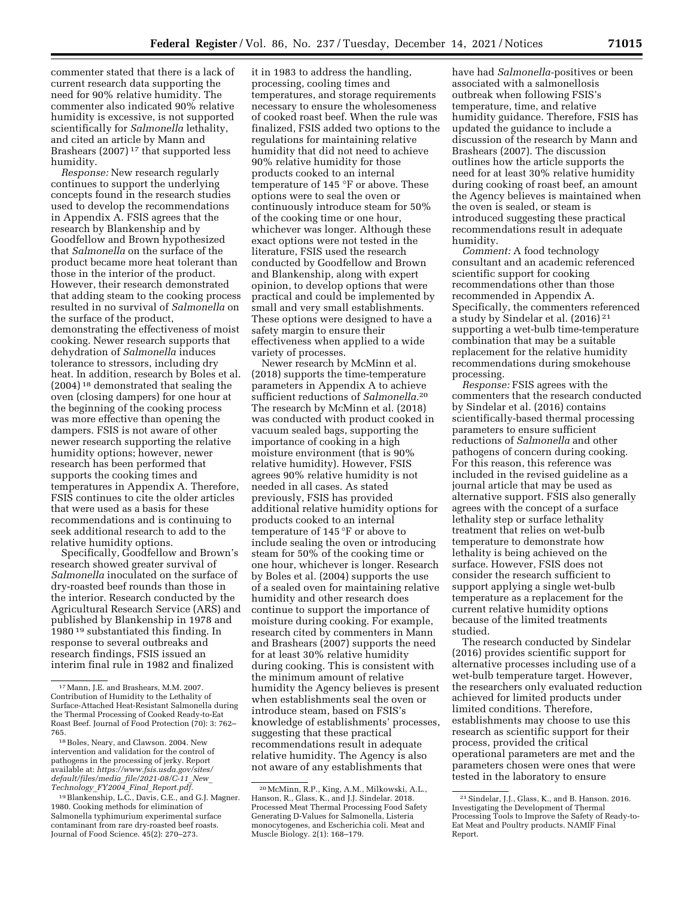commenter stated that there is a lack of current research data supporting the need for 90% relative humidity. The commenter also indicated 90% relative humidity is excessive, is not supported scientifically for *Salmonella* lethality, and cited an article by Mann and Brashears (2007) 17 that supported less humidity.

*Response:* New research regularly continues to support the underlying concepts found in the research studies used to develop the recommendations in Appendix A. FSIS agrees that the research by Blankenship and by Goodfellow and Brown hypothesized that *Salmonella* on the surface of the product became more heat tolerant than those in the interior of the product. However, their research demonstrated that adding steam to the cooking process resulted in no survival of *Salmonella* on the surface of the product, demonstrating the effectiveness of moist cooking. Newer research supports that dehydration of *Salmonella* induces tolerance to stressors, including dry heat. In addition, research by Boles et al. (2004) 18 demonstrated that sealing the oven (closing dampers) for one hour at the beginning of the cooking process was more effective than opening the dampers. FSIS is not aware of other newer research supporting the relative humidity options; however, newer research has been performed that supports the cooking times and temperatures in Appendix A. Therefore, FSIS continues to cite the older articles that were used as a basis for these recommendations and is continuing to seek additional research to add to the relative humidity options.

Specifically, Goodfellow and Brown's research showed greater survival of *Salmonella* inoculated on the surface of dry-roasted beef rounds than those in the interior. Research conducted by the Agricultural Research Service (ARS) and published by Blankenship in 1978 and 1980 19 substantiated this finding. In response to several outbreaks and research findings, FSIS issued an interim final rule in 1982 and finalized

it in 1983 to address the handling, processing, cooling times and temperatures, and storage requirements necessary to ensure the wholesomeness of cooked roast beef. When the rule was finalized, FSIS added two options to the regulations for maintaining relative humidity that did not need to achieve 90% relative humidity for those products cooked to an internal temperature of 145 °F or above. These options were to seal the oven or continuously introduce steam for 50% of the cooking time or one hour, whichever was longer. Although these exact options were not tested in the literature, FSIS used the research conducted by Goodfellow and Brown and Blankenship, along with expert opinion, to develop options that were practical and could be implemented by small and very small establishments. These options were designed to have a safety margin to ensure their effectiveness when applied to a wide variety of processes.

Newer research by McMinn et al. (2018) supports the time-temperature parameters in Appendix A to achieve sufficient reductions of *Salmonella.*20 The research by McMinn et al. (2018) was conducted with product cooked in vacuum sealed bags, supporting the importance of cooking in a high moisture environment (that is 90% relative humidity). However, FSIS agrees 90% relative humidity is not needed in all cases. As stated previously, FSIS has provided additional relative humidity options for products cooked to an internal temperature of 145 °F or above to include sealing the oven or introducing steam for 50% of the cooking time or one hour, whichever is longer. Research by Boles et al. (2004) supports the use of a sealed oven for maintaining relative humidity and other research does continue to support the importance of moisture during cooking. For example, research cited by commenters in Mann and Brashears (2007) supports the need for at least 30% relative humidity during cooking. This is consistent with the minimum amount of relative humidity the Agency believes is present when establishments seal the oven or introduce steam, based on FSIS's knowledge of establishments' processes, suggesting that these practical recommendations result in adequate relative humidity. The Agency is also not aware of any establishments that

have had *Salmonella-*positives or been associated with a salmonellosis outbreak when following FSIS's temperature, time, and relative humidity guidance. Therefore, FSIS has updated the guidance to include a discussion of the research by Mann and Brashears (2007). The discussion outlines how the article supports the need for at least 30% relative humidity during cooking of roast beef, an amount the Agency believes is maintained when the oven is sealed, or steam is introduced suggesting these practical recommendations result in adequate humidity.

*Comment:* A food technology consultant and an academic referenced scientific support for cooking recommendations other than those recommended in Appendix A. Specifically, the commenters referenced a study by Sindelar et al. (2016) 21 supporting a wet-bulb time-temperature combination that may be a suitable replacement for the relative humidity recommendations during smokehouse processing.

*Response:* FSIS agrees with the commenters that the research conducted by Sindelar et al. (2016) contains scientifically-based thermal processing parameters to ensure sufficient reductions of *Salmonella* and other pathogens of concern during cooking. For this reason, this reference was included in the revised guideline as a journal article that may be used as alternative support. FSIS also generally agrees with the concept of a surface lethality step or surface lethality treatment that relies on wet-bulb temperature to demonstrate how lethality is being achieved on the surface. However, FSIS does not consider the research sufficient to support applying a single wet-bulb temperature as a replacement for the current relative humidity options because of the limited treatments studied.

The research conducted by Sindelar (2016) provides scientific support for alternative processes including use of a wet-bulb temperature target. However, the researchers only evaluated reduction achieved for limited products under limited conditions. Therefore, establishments may choose to use this research as scientific support for their process, provided the critical operational parameters are met and the parameters chosen were ones that were tested in the laboratory to ensure

<sup>17</sup>Mann, J.E. and Brashears, M.M. 2007. Contribution of Humidity to the Lethality of Surface-Attached Heat-Resistant Salmonella during the Thermal Processing of Cooked Ready-to-Eat Roast Beef. Journal of Food Protection (70): 3: 762– 765.

<sup>18</sup>Boles, Neary, and Clawson. 2004. New intervention and validation for the control of pathogens in the processing of jerky. Report available at: *[https://www.fsis.usda.gov/sites/](https://www.fsis.usda.gov/sites/default/files/media_file/2021-08/C-11_New_Technology_FY2004_Final_Report.pdf)  [default/files/media](https://www.fsis.usda.gov/sites/default/files/media_file/2021-08/C-11_New_Technology_FY2004_Final_Report.pdf)*\_*file/2021-08/C-11*\_*New*\_ *[Technology](https://www.fsis.usda.gov/sites/default/files/media_file/2021-08/C-11_New_Technology_FY2004_Final_Report.pdf)*\_*FY2004*\_*Final*\_*Report.pdf.* 

<sup>19</sup>Blankenship, L.C., Davis, C.E., and G.J. Magner. 1980. Cooking methods for elimination of Salmonella typhimurium experimental surface contaminant from rare dry-roasted beef roasts. Journal of Food Science. 45(2): 270–273.

<sup>20</sup>McMinn, R.P., King, A.M., Milkowski, A.L., Hanson, R., Glass, K., and J.J. Sindelar. 2018. Processed Meat Thermal Processing Food Safety Generating D-Values for Salmonella, Listeria monocytogenes, and Escherichia coli. Meat and Muscle Biology. 2(1): 168–179.

<sup>21</sup>Sindelar, J.J., Glass, K., and B. Hanson. 2016. Investigating the Development of Thermal Processing Tools to Improve the Safety of Ready-to-Eat Meat and Poultry products. NAMIF Final Report.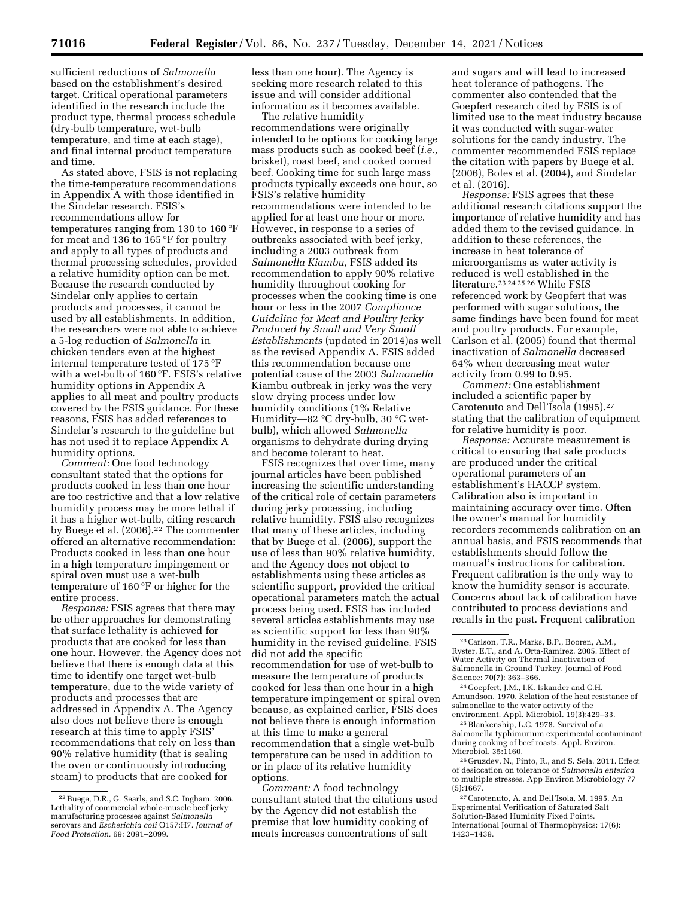sufficient reductions of *Salmonella*  based on the establishment's desired target. Critical operational parameters identified in the research include the product type, thermal process schedule (dry-bulb temperature, wet-bulb temperature, and time at each stage), and final internal product temperature and time.

As stated above, FSIS is not replacing the time-temperature recommendations in Appendix A with those identified in the Sindelar research. FSIS's recommendations allow for temperatures ranging from 130 to 160 °F for meat and 136 to 165 °F for poultry and apply to all types of products and thermal processing schedules, provided a relative humidity option can be met. Because the research conducted by Sindelar only applies to certain products and processes, it cannot be used by all establishments. In addition, the researchers were not able to achieve a 5-log reduction of *Salmonella* in chicken tenders even at the highest internal temperature tested of 175 °F with a wet-bulb of 160 °F. FSIS's relative humidity options in Appendix A applies to all meat and poultry products covered by the FSIS guidance. For these reasons, FSIS has added references to Sindelar's research to the guideline but has not used it to replace Appendix A humidity options.

*Comment:* One food technology consultant stated that the options for products cooked in less than one hour are too restrictive and that a low relative humidity process may be more lethal if it has a higher wet-bulb, citing research by Buege et al. (2006).<sup>22</sup> The commenter offered an alternative recommendation: Products cooked in less than one hour in a high temperature impingement or spiral oven must use a wet-bulb temperature of 160 °F or higher for the entire process.

*Response:* FSIS agrees that there may be other approaches for demonstrating that surface lethality is achieved for products that are cooked for less than one hour. However, the Agency does not believe that there is enough data at this time to identify one target wet-bulb temperature, due to the wide variety of products and processes that are addressed in Appendix A. The Agency also does not believe there is enough research at this time to apply FSIS' recommendations that rely on less than 90% relative humidity (that is sealing the oven or continuously introducing steam) to products that are cooked for

less than one hour). The Agency is seeking more research related to this issue and will consider additional information as it becomes available.

The relative humidity recommendations were originally intended to be options for cooking large mass products such as cooked beef (*i.e.,*  brisket), roast beef, and cooked corned beef. Cooking time for such large mass products typically exceeds one hour, so FSIS's relative humidity recommendations were intended to be applied for at least one hour or more. However, in response to a series of outbreaks associated with beef jerky, including a 2003 outbreak from *Salmonella Kiambu,* FSIS added its recommendation to apply 90% relative humidity throughout cooking for processes when the cooking time is one hour or less in the 2007 *Compliance Guideline for Meat and Poultry Jerky Produced by Small and Very Small Establishments* (updated in 2014)as well as the revised Appendix A. FSIS added this recommendation because one potential cause of the 2003 *Salmonella*  Kiambu outbreak in jerky was the very slow drying process under low humidity conditions (1% Relative Humidity—82 °C dry-bulb, 30 °C wetbulb), which allowed *Salmonella*  organisms to dehydrate during drying and become tolerant to heat.

FSIS recognizes that over time, many journal articles have been published increasing the scientific understanding of the critical role of certain parameters during jerky processing, including relative humidity. FSIS also recognizes that many of these articles, including that by Buege et al. (2006), support the use of less than 90% relative humidity, and the Agency does not object to establishments using these articles as scientific support, provided the critical operational parameters match the actual process being used. FSIS has included several articles establishments may use as scientific support for less than 90% humidity in the revised guideline. FSIS did not add the specific recommendation for use of wet-bulb to measure the temperature of products cooked for less than one hour in a high temperature impingement or spiral oven because, as explained earlier, FSIS does not believe there is enough information at this time to make a general recommendation that a single wet-bulb temperature can be used in addition to or in place of its relative humidity options.

*Comment:* A food technology consultant stated that the citations used by the Agency did not establish the premise that low humidity cooking of meats increases concentrations of salt

and sugars and will lead to increased heat tolerance of pathogens. The commenter also contended that the Goepfert research cited by FSIS is of limited use to the meat industry because it was conducted with sugar-water solutions for the candy industry. The commenter recommended FSIS replace the citation with papers by Buege et al. (2006), Boles et al. (2004), and Sindelar et al. (2016).

*Response:* FSIS agrees that these additional research citations support the importance of relative humidity and has added them to the revised guidance. In addition to these references, the increase in heat tolerance of microorganisms as water activity is reduced is well established in the literature.23 24 25 26 While FSIS referenced work by Geopfert that was performed with sugar solutions, the same findings have been found for meat and poultry products. For example, Carlson et al. (2005) found that thermal inactivation of *Salmonella* decreased 64% when decreasing meat water activity from 0.99 to 0.95.

*Comment:* One establishment included a scientific paper by Carotenuto and Dell'Isola (1995),27 stating that the calibration of equipment for relative humidity is poor.

*Response:* Accurate measurement is critical to ensuring that safe products are produced under the critical operational parameters of an establishment's HACCP system. Calibration also is important in maintaining accuracy over time. Often the owner's manual for humidity recorders recommends calibration on an annual basis, and FSIS recommends that establishments should follow the manual's instructions for calibration. Frequent calibration is the only way to know the humidity sensor is accurate. Concerns about lack of calibration have contributed to process deviations and recalls in the past. Frequent calibration

24 Goepfert, J.M., I.K. Iskander and C.H. Amundson. 1970. Relation of the heat resistance of salmonellae to the water activity of the environment. Appl. Microbiol. 19(3):429–33.

25Blankenship, L.C. 1978. Survival of a Salmonella typhimurium experimental contaminant during cooking of beef roasts. Appl. Environ. Microbiol. 35:1160.

26 Gruzdev, N., Pinto, R., and S. Sela. 2011. Effect of desiccation on tolerance of *Salmonella enterica*  to multiple stresses. App Environ Microbiology 77 (5):1667.

27Carotenuto, A. and Dell'Isola, M. 1995. An Experimental Verification of Saturated Salt Solution-Based Humidity Fixed Points. International Journal of Thermophysics: 17(6): 1423–1439.

<sup>22</sup>Buege, D.R., G. Searls, and S.C. Ingham. 2006. Lethality of commercial whole-muscle beef jerky manufacturing processes against *Salmonella*  serovars and *Escherichia coli* O157:H7. *Journal of Food Protection.* 69: 2091–2099.

<sup>23</sup>Carlson, T.R., Marks, B.P., Booren, A.M., Ryster, E.T., and A. Orta-Ramirez. 2005. Effect of Water Activity on Thermal Inactivation of Salmonella in Ground Turkey. Journal of Food Science: 70(7): 363–366.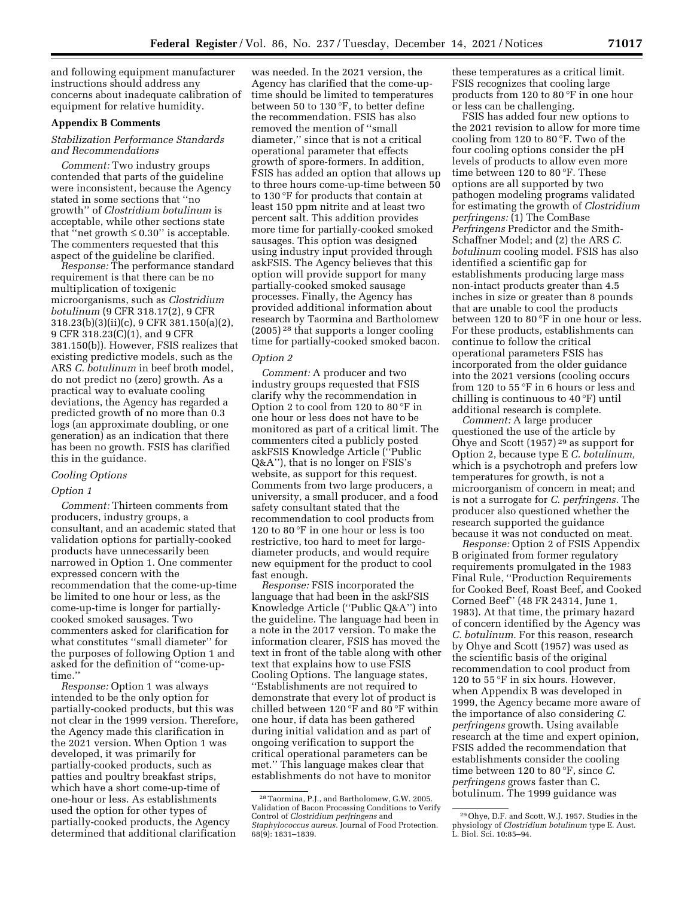and following equipment manufacturer instructions should address any concerns about inadequate calibration of equipment for relative humidity.

# **Appendix B Comments**

# *Stabilization Performance Standards and Recommendations*

*Comment:* Two industry groups contended that parts of the guideline were inconsistent, because the Agency stated in some sections that ''no growth'' of *Clostridium botulinum* is acceptable, while other sections state that "net growth  $\leq 0.30$ " is acceptable. The commenters requested that this aspect of the guideline be clarified.

*Response:* The performance standard requirement is that there can be no multiplication of toxigenic microorganisms, such as *Clostridium botulinum* (9 CFR 318.17(2), 9 CFR 318.23(b)(3)(ii)(c), 9 CFR 381.150(a)(2), 9 CFR 318.23(C)(1), and 9 CFR 381.150(b)). However, FSIS realizes that existing predictive models, such as the ARS *C. botulinum* in beef broth model, do not predict no (zero) growth. As a practical way to evaluate cooling deviations, the Agency has regarded a predicted growth of no more than 0.3 logs (an approximate doubling, or one generation) as an indication that there has been no growth. FSIS has clarified this in the guidance.

#### *Cooling Options*

#### *Option 1*

*Comment:* Thirteen comments from producers, industry groups, a consultant, and an academic stated that validation options for partially-cooked products have unnecessarily been narrowed in Option 1. One commenter expressed concern with the recommendation that the come-up-time be limited to one hour or less, as the come-up-time is longer for partiallycooked smoked sausages. Two commenters asked for clarification for what constitutes ''small diameter'' for the purposes of following Option 1 and asked for the definition of ''come-uptime.''

*Response:* Option 1 was always intended to be the only option for partially-cooked products, but this was not clear in the 1999 version. Therefore, the Agency made this clarification in the 2021 version. When Option 1 was developed, it was primarily for partially-cooked products, such as patties and poultry breakfast strips, which have a short come-up-time of one-hour or less. As establishments used the option for other types of partially-cooked products, the Agency determined that additional clarification

was needed. In the 2021 version, the Agency has clarified that the come-uptime should be limited to temperatures between 50 to 130 °F, to better define the recommendation. FSIS has also removed the mention of ''small diameter,'' since that is not a critical operational parameter that effects growth of spore-formers. In addition, FSIS has added an option that allows up to three hours come-up-time between 50 to 130 °F for products that contain at least 150 ppm nitrite and at least two percent salt. This addition provides more time for partially-cooked smoked sausages. This option was designed using industry input provided through askFSIS. The Agency believes that this option will provide support for many partially-cooked smoked sausage processes. Finally, the Agency has provided additional information about research by Taormina and Bartholomew (2005) 28 that supports a longer cooling time for partially-cooked smoked bacon.

#### *Option 2*

*Comment:* A producer and two industry groups requested that FSIS clarify why the recommendation in Option 2 to cool from 120 to 80 °F in one hour or less does not have to be monitored as part of a critical limit. The commenters cited a publicly posted askFSIS Knowledge Article (''Public Q&A''), that is no longer on FSIS's website, as support for this request. Comments from two large producers, a university, a small producer, and a food safety consultant stated that the recommendation to cool products from 120 to 80 °F in one hour or less is too restrictive, too hard to meet for largediameter products, and would require new equipment for the product to cool fast enough.

*Response:* FSIS incorporated the language that had been in the askFSIS Knowledge Article (''Public Q&A'') into the guideline. The language had been in a note in the 2017 version. To make the information clearer, FSIS has moved the text in front of the table along with other text that explains how to use FSIS Cooling Options. The language states, ''Establishments are not required to demonstrate that every lot of product is chilled between 120 °F and 80 °F within one hour, if data has been gathered during initial validation and as part of ongoing verification to support the critical operational parameters can be met.'' This language makes clear that establishments do not have to monitor

these temperatures as a critical limit. FSIS recognizes that cooling large products from 120 to 80 °F in one hour or less can be challenging.

FSIS has added four new options to the 2021 revision to allow for more time cooling from 120 to 80 °F. Two of the four cooling options consider the pH levels of products to allow even more time between 120 to 80 °F. These options are all supported by two pathogen modeling programs validated for estimating the growth of *Clostridium perfringens:* (1) The ComBase *Perfringens* Predictor and the Smith-Schaffner Model; and (2) the ARS *C. botulinum* cooling model. FSIS has also identified a scientific gap for establishments producing large mass non-intact products greater than 4.5 inches in size or greater than 8 pounds that are unable to cool the products between 120 to 80 °F in one hour or less. For these products, establishments can continue to follow the critical operational parameters FSIS has incorporated from the older guidance into the 2021 versions (cooling occurs from 120 to 55 °F in 6 hours or less and chilling is continuous to 40 °F) until additional research is complete.

*Comment:* A large producer questioned the use of the article by Ohye and Scott (1957) 29 as support for Option 2, because type E *C. botulinum,*  which is a psychotroph and prefers low temperatures for growth, is not a microorganism of concern in meat; and is not a surrogate for *C. perfringens.* The producer also questioned whether the research supported the guidance because it was not conducted on meat.

*Response:* Option 2 of FSIS Appendix B originated from former regulatory requirements promulgated in the 1983 Final Rule, ''Production Requirements for Cooked Beef, Roast Beef, and Cooked Corned Beef'' (48 FR 24314, June 1, 1983). At that time, the primary hazard of concern identified by the Agency was *C. botulinum.* For this reason, research by Ohye and Scott (1957) was used as the scientific basis of the original recommendation to cool product from 120 to 55 °F in six hours. However, when Appendix B was developed in 1999, the Agency became more aware of the importance of also considering *C. perfringens* growth. Using available research at the time and expert opinion, FSIS added the recommendation that establishments consider the cooling time between 120 to 80 °F, since *C. perfringens* grows faster than C. botulinum. The 1999 guidance was

<sup>28</sup>Taormina, P.J., and Bartholomew, G.W. 2005. Validation of Bacon Processing Conditions to Verify Control of *Clostridium perfringens* and *Staphylococcus aureus.* Journal of Food Protection. 68(9): 1831–1839.

<sup>29</sup>Ohye, D.F. and Scott, W.J. 1957. Studies in the physiology of *Clostridium botulinum* type E. Aust. L. Biol. Sci. 10:85–94.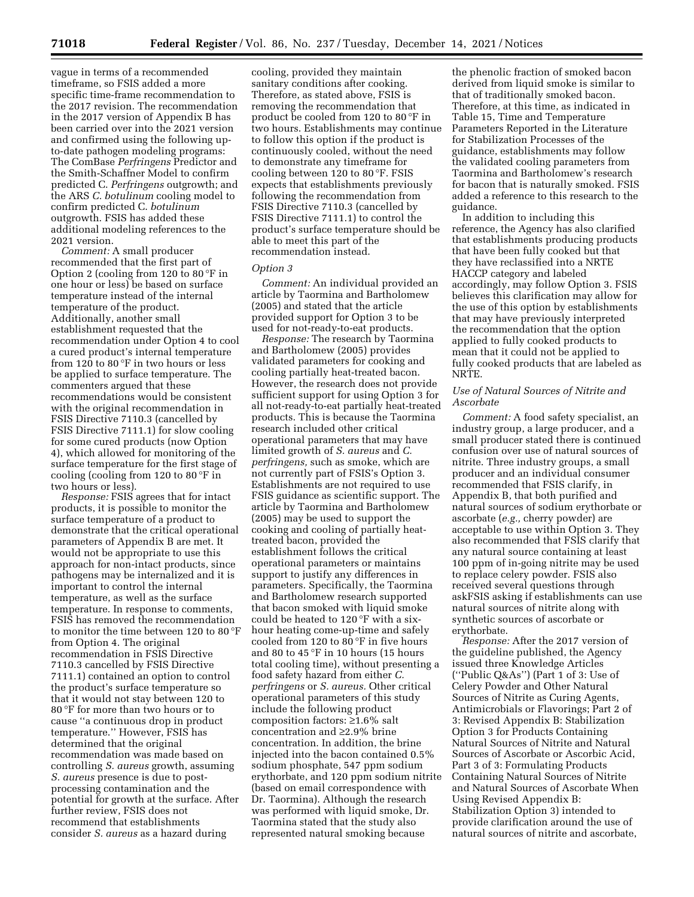vague in terms of a recommended timeframe, so FSIS added a more specific time-frame recommendation to the 2017 revision. The recommendation in the 2017 version of Appendix B has been carried over into the 2021 version and confirmed using the following upto-date pathogen modeling programs: The ComBase *Perfringens* Predictor and the Smith-Schaffner Model to confirm predicted C. *Perfringens* outgrowth; and the ARS *C. botulinum* cooling model to confirm predicted C. *botulinum*  outgrowth. FSIS has added these additional modeling references to the 2021 version.

*Comment:* A small producer recommended that the first part of Option 2 (cooling from 120 to 80 °F in one hour or less) be based on surface temperature instead of the internal temperature of the product. Additionally, another small establishment requested that the recommendation under Option 4 to cool a cured product's internal temperature from 120 to 80 °F in two hours or less be applied to surface temperature. The commenters argued that these recommendations would be consistent with the original recommendation in FSIS Directive 7110.3 (cancelled by FSIS Directive 7111.1) for slow cooling for some cured products (now Option 4), which allowed for monitoring of the surface temperature for the first stage of cooling (cooling from 120 to 80 °F in two hours or less).

*Response:* FSIS agrees that for intact products, it is possible to monitor the surface temperature of a product to demonstrate that the critical operational parameters of Appendix B are met. It would not be appropriate to use this approach for non-intact products, since pathogens may be internalized and it is important to control the internal temperature, as well as the surface temperature. In response to comments, FSIS has removed the recommendation to monitor the time between 120 to 80 °F from Option 4. The original recommendation in FSIS Directive 7110.3 cancelled by FSIS Directive 7111.1) contained an option to control the product's surface temperature so that it would not stay between 120 to 80 °F for more than two hours or to cause ''a continuous drop in product temperature.'' However, FSIS has determined that the original recommendation was made based on controlling *S. aureus* growth, assuming *S. aureus* presence is due to postprocessing contamination and the potential for growth at the surface. After further review, FSIS does not recommend that establishments consider *S. aureus* as a hazard during

cooling, provided they maintain sanitary conditions after cooking. Therefore, as stated above, FSIS is removing the recommendation that product be cooled from 120 to 80 °F in two hours. Establishments may continue to follow this option if the product is continuously cooled, without the need to demonstrate any timeframe for cooling between 120 to 80 °F. FSIS expects that establishments previously following the recommendation from FSIS Directive 7110.3 (cancelled by FSIS Directive 7111.1) to control the product's surface temperature should be able to meet this part of the recommendation instead.

# *Option 3*

*Comment:* An individual provided an article by Taormina and Bartholomew (2005) and stated that the article provided support for Option 3 to be used for not-ready-to-eat products.

*Response:* The research by Taormina and Bartholomew (2005) provides validated parameters for cooking and cooling partially heat-treated bacon. However, the research does not provide sufficient support for using Option 3 for all not-ready-to-eat partially heat-treated products. This is because the Taormina research included other critical operational parameters that may have limited growth of *S. aureus* and *C. perfringens,* such as smoke, which are not currently part of FSIS's Option 3. Establishments are not required to use FSIS guidance as scientific support. The article by Taormina and Bartholomew (2005) may be used to support the cooking and cooling of partially heattreated bacon, provided the establishment follows the critical operational parameters or maintains support to justify any differences in parameters. Specifically, the Taormina and Bartholomew research supported that bacon smoked with liquid smoke could be heated to 120 °F with a sixhour heating come-up-time and safely cooled from 120 to 80 °F in five hours and 80 to 45 °F in 10 hours (15 hours total cooling time), without presenting a food safety hazard from either *C. perfringens* or *S. aureus.* Other critical operational parameters of this study include the following product composition factors: ≥1.6% salt concentration and ≥2.9% brine concentration. In addition, the brine injected into the bacon contained 0.5% sodium phosphate, 547 ppm sodium erythorbate, and 120 ppm sodium nitrite (based on email correspondence with Dr. Taormina). Although the research was performed with liquid smoke, Dr. Taormina stated that the study also represented natural smoking because

the phenolic fraction of smoked bacon derived from liquid smoke is similar to that of traditionally smoked bacon. Therefore, at this time, as indicated in Table 15, Time and Temperature Parameters Reported in the Literature for Stabilization Processes of the guidance, establishments may follow the validated cooling parameters from Taormina and Bartholomew's research for bacon that is naturally smoked. FSIS added a reference to this research to the guidance.

In addition to including this reference, the Agency has also clarified that establishments producing products that have been fully cooked but that they have reclassified into a NRTE HACCP category and labeled accordingly, may follow Option 3. FSIS believes this clarification may allow for the use of this option by establishments that may have previously interpreted the recommendation that the option applied to fully cooked products to mean that it could not be applied to fully cooked products that are labeled as NRTE.

# *Use of Natural Sources of Nitrite and Ascorbate*

*Comment:* A food safety specialist, an industry group, a large producer, and a small producer stated there is continued confusion over use of natural sources of nitrite. Three industry groups, a small producer and an individual consumer recommended that FSIS clarify, in Appendix B, that both purified and natural sources of sodium erythorbate or ascorbate (*e.g.,* cherry powder) are acceptable to use within Option 3. They also recommended that FSIS clarify that any natural source containing at least 100 ppm of in-going nitrite may be used to replace celery powder. FSIS also received several questions through askFSIS asking if establishments can use natural sources of nitrite along with synthetic sources of ascorbate or erythorbate.

*Response:* After the 2017 version of the guideline published, the Agency issued three Knowledge Articles (''Public Q&As'') (Part 1 of 3: Use of Celery Powder and Other Natural Sources of Nitrite as Curing Agents, Antimicrobials or Flavorings; Part 2 of 3: Revised Appendix B: Stabilization Option 3 for Products Containing Natural Sources of Nitrite and Natural Sources of Ascorbate or Ascorbic Acid, Part 3 of 3: Formulating Products Containing Natural Sources of Nitrite and Natural Sources of Ascorbate When Using Revised Appendix B: Stabilization Option 3) intended to provide clarification around the use of natural sources of nitrite and ascorbate,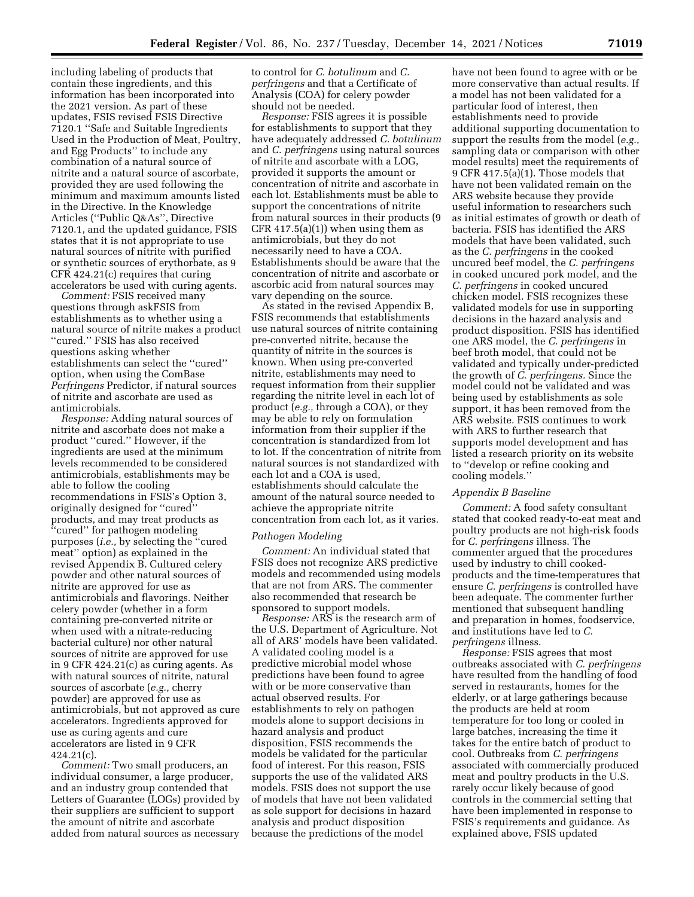including labeling of products that contain these ingredients, and this information has been incorporated into the 2021 version. As part of these updates, FSIS revised FSIS Directive 7120.1 ''Safe and Suitable Ingredients Used in the Production of Meat, Poultry, and Egg Products'' to include any combination of a natural source of nitrite and a natural source of ascorbate, provided they are used following the minimum and maximum amounts listed in the Directive. In the Knowledge Articles (''Public Q&As'', Directive 7120.1, and the updated guidance, FSIS states that it is not appropriate to use natural sources of nitrite with purified or synthetic sources of erythorbate, as 9 CFR 424.21(c) requires that curing accelerators be used with curing agents.

*Comment:* FSIS received many questions through askFSIS from establishments as to whether using a natural source of nitrite makes a product ''cured.'' FSIS has also received questions asking whether establishments can select the ''cured'' option, when using the ComBase *Perfringens* Predictor, if natural sources of nitrite and ascorbate are used as antimicrobials.

*Response:* Adding natural sources of nitrite and ascorbate does not make a product ''cured.'' However, if the ingredients are used at the minimum levels recommended to be considered antimicrobials, establishments may be able to follow the cooling recommendations in FSIS's Option 3, originally designed for ''cured'' products, and may treat products as ''cured'' for pathogen modeling purposes (*i.e.,* by selecting the ''cured meat'' option) as explained in the revised Appendix B. Cultured celery powder and other natural sources of nitrite are approved for use as antimicrobials and flavorings. Neither celery powder (whether in a form containing pre-converted nitrite or when used with a nitrate-reducing bacterial culture) nor other natural sources of nitrite are approved for use in 9 CFR 424.21(c) as curing agents. As with natural sources of nitrite, natural sources of ascorbate (*e.g.,* cherry powder) are approved for use as antimicrobials, but not approved as cure accelerators. Ingredients approved for use as curing agents and cure accelerators are listed in 9 CFR  $424.21(c)$ .

*Comment:* Two small producers, an individual consumer, a large producer, and an industry group contended that Letters of Guarantee (LOGs) provided by their suppliers are sufficient to support the amount of nitrite and ascorbate added from natural sources as necessary

to control for *C. botulinum* and *C. perfringens* and that a Certificate of Analysis (COA) for celery powder should not be needed.

*Response:* FSIS agrees it is possible for establishments to support that they have adequately addressed *C. botulinum*  and *C. perfringens* using natural sources of nitrite and ascorbate with a LOG, provided it supports the amount or concentration of nitrite and ascorbate in each lot. Establishments must be able to support the concentrations of nitrite from natural sources in their products (9  $CFR$  417.5(a)(1)) when using them as antimicrobials, but they do not necessarily need to have a COA. Establishments should be aware that the concentration of nitrite and ascorbate or ascorbic acid from natural sources may vary depending on the source.

As stated in the revised Appendix B, FSIS recommends that establishments use natural sources of nitrite containing pre-converted nitrite, because the quantity of nitrite in the sources is known. When using pre-converted nitrite, establishments may need to request information from their supplier regarding the nitrite level in each lot of product (*e.g.,* through a COA), or they may be able to rely on formulation information from their supplier if the concentration is standardized from lot to lot. If the concentration of nitrite from natural sources is not standardized with each lot and a COA is used, establishments should calculate the amount of the natural source needed to achieve the appropriate nitrite concentration from each lot, as it varies.

#### *Pathogen Modeling*

*Comment:* An individual stated that FSIS does not recognize ARS predictive models and recommended using models that are not from ARS. The commenter also recommended that research be sponsored to support models.

*Response:* ARS is the research arm of the U.S. Department of Agriculture. Not all of ARS' models have been validated. A validated cooling model is a predictive microbial model whose predictions have been found to agree with or be more conservative than actual observed results. For establishments to rely on pathogen models alone to support decisions in hazard analysis and product disposition, FSIS recommends the models be validated for the particular food of interest. For this reason, FSIS supports the use of the validated ARS models. FSIS does not support the use of models that have not been validated as sole support for decisions in hazard analysis and product disposition because the predictions of the model

have not been found to agree with or be more conservative than actual results. If a model has not been validated for a particular food of interest, then establishments need to provide additional supporting documentation to support the results from the model (*e.g.,*  sampling data or comparison with other model results) meet the requirements of 9 CFR 417.5(a)(1). Those models that have not been validated remain on the ARS website because they provide useful information to researchers such as initial estimates of growth or death of bacteria. FSIS has identified the ARS models that have been validated, such as the *C. perfringens* in the cooked uncured beef model, the *C. perfringens*  in cooked uncured pork model, and the *C. perfringens* in cooked uncured chicken model. FSIS recognizes these validated models for use in supporting decisions in the hazard analysis and product disposition. FSIS has identified one ARS model, the *C. perfringens* in beef broth model, that could not be validated and typically under-predicted the growth of *C. perfringens.* Since the model could not be validated and was being used by establishments as sole support, it has been removed from the ARS website. FSIS continues to work with ARS to further research that supports model development and has listed a research priority on its website to ''develop or refine cooking and cooling models.''

### *Appendix B Baseline*

*Comment:* A food safety consultant stated that cooked ready-to-eat meat and poultry products are not high-risk foods for *C. perfringens* illness. The commenter argued that the procedures used by industry to chill cookedproducts and the time-temperatures that ensure *C. perfringens* is controlled have been adequate. The commenter further mentioned that subsequent handling and preparation in homes, foodservice, and institutions have led to *C. perfringens* illness.

*Response:* FSIS agrees that most outbreaks associated with *C. perfringens*  have resulted from the handling of food served in restaurants, homes for the elderly, or at large gatherings because the products are held at room temperature for too long or cooled in large batches, increasing the time it takes for the entire batch of product to cool. Outbreaks from *C. perfringens*  associated with commercially produced meat and poultry products in the U.S. rarely occur likely because of good controls in the commercial setting that have been implemented in response to FSIS's requirements and guidance. As explained above, FSIS updated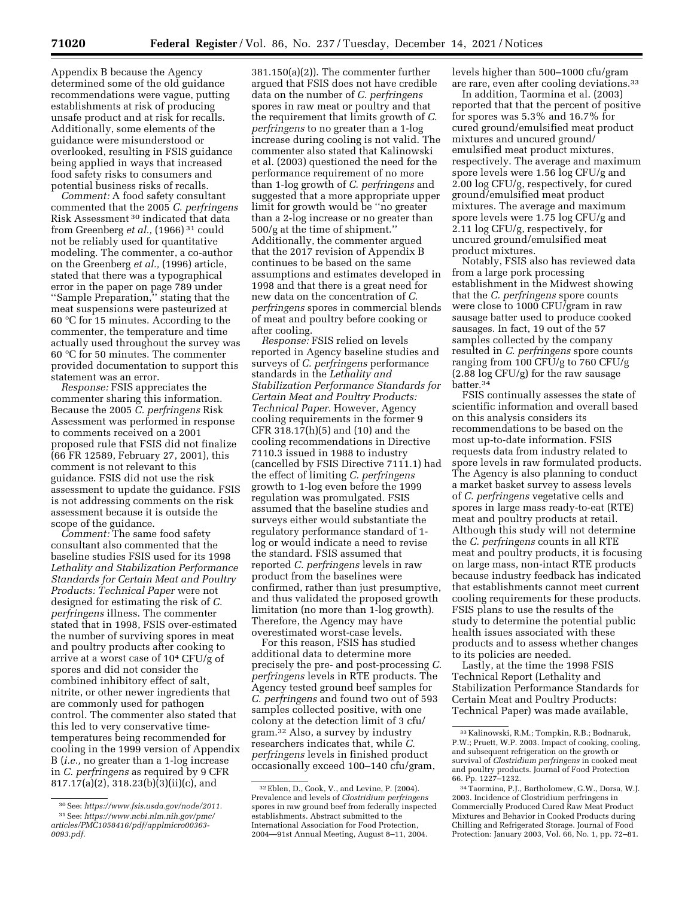Appendix B because the Agency determined some of the old guidance recommendations were vague, putting establishments at risk of producing unsafe product and at risk for recalls. Additionally, some elements of the guidance were misunderstood or overlooked, resulting in FSIS guidance being applied in ways that increased food safety risks to consumers and potential business risks of recalls.

*Comment:* A food safety consultant commented that the 2005 *C. perfringens*  Risk Assessment 30 indicated that data from Greenberg *et al.,* (1966) 31 could not be reliably used for quantitative modeling. The commenter, a co-author on the Greenberg *et al.,* (1996) article, stated that there was a typographical error in the paper on page 789 under ''Sample Preparation,'' stating that the meat suspensions were pasteurized at 60 °C for 15 minutes. According to the commenter, the temperature and time actually used throughout the survey was 60 °C for 50 minutes. The commenter provided documentation to support this statement was an error.

*Response:* FSIS appreciates the commenter sharing this information. Because the 2005 *C. perfringens* Risk Assessment was performed in response to comments received on a 2001 proposed rule that FSIS did not finalize (66 FR 12589, February 27, 2001), this comment is not relevant to this guidance. FSIS did not use the risk assessment to update the guidance. FSIS is not addressing comments on the risk assessment because it is outside the scope of the guidance.

*Comment:* The same food safety consultant also commented that the baseline studies FSIS used for its 1998 *Lethality and Stabilization Performance Standards for Certain Meat and Poultry Products: Technical Paper* were not designed for estimating the risk of *C. perfringens* illness. The commenter stated that in 1998, FSIS over-estimated the number of surviving spores in meat and poultry products after cooking to arrive at a worst case of 104 CFU/g of spores and did not consider the combined inhibitory effect of salt, nitrite, or other newer ingredients that are commonly used for pathogen control. The commenter also stated that this led to very conservative timetemperatures being recommended for cooling in the 1999 version of Appendix B (*i.e.,* no greater than a 1-log increase in *C. perfringens* as required by 9 CFR 817.17(a)(2), 318.23(b)(3)(ii)(c), and

381.150(a)(2)). The commenter further argued that FSIS does not have credible data on the number of *C. perfringens*  spores in raw meat or poultry and that the requirement that limits growth of *C. perfringens* to no greater than a 1-log increase during cooling is not valid. The commenter also stated that Kalinowski et al. (2003) questioned the need for the performance requirement of no more than 1-log growth of *C. perfringens* and suggested that a more appropriate upper limit for growth would be ''no greater than a 2-log increase or no greater than 500/g at the time of shipment.'' Additionally, the commenter argued that the 2017 revision of Appendix B continues to be based on the same assumptions and estimates developed in 1998 and that there is a great need for new data on the concentration of *C. perfringens* spores in commercial blends of meat and poultry before cooking or after cooling.

*Response:* FSIS relied on levels reported in Agency baseline studies and surveys of *C. perfringens* performance standards in the *Lethality and Stabilization Performance Standards for Certain Meat and Poultry Products: Technical Paper.* However, Agency cooling requirements in the former 9 CFR 318.17(h)(5) and (10) and the cooling recommendations in Directive 7110.3 issued in 1988 to industry (cancelled by FSIS Directive 7111.1) had the effect of limiting *C. perfringens*  growth to 1-log even before the 1999 regulation was promulgated. FSIS assumed that the baseline studies and surveys either would substantiate the regulatory performance standard of 1 log or would indicate a need to revise the standard. FSIS assumed that reported *C. perfringens* levels in raw product from the baselines were confirmed, rather than just presumptive, and thus validated the proposed growth limitation (no more than 1-log growth). Therefore, the Agency may have overestimated worst-case levels.

For this reason, FSIS has studied additional data to determine more precisely the pre- and post-processing *C. perfringens* levels in RTE products. The Agency tested ground beef samples for *C. perfringens* and found two out of 593 samples collected positive, with one colony at the detection limit of 3 cfu/ gram.32 Also, a survey by industry researchers indicates that, while *C. perfringens* levels in finished product occasionally exceed 100–140 cfu/gram,

levels higher than 500–1000 cfu/gram are rare, even after cooling deviations.33

In addition, Taormina et al. (2003) reported that that the percent of positive for spores was 5.3% and 16.7% for cured ground/emulsified meat product mixtures and uncured ground/ emulsified meat product mixtures, respectively. The average and maximum spore levels were 1.56 log CFU/g and 2.00 log CFU/g, respectively, for cured ground/emulsified meat product mixtures. The average and maximum spore levels were 1.75 log CFU/g and 2.11 log CFU/g, respectively, for uncured ground/emulsified meat product mixtures.

Notably, FSIS also has reviewed data from a large pork processing establishment in the Midwest showing that the *C. perfringens* spore counts were close to 1000 CFU/gram in raw sausage batter used to produce cooked sausages. In fact, 19 out of the 57 samples collected by the company resulted in *C. perfringens* spore counts ranging from 100 CFU/g to 760 CFU/g  $(2.88 \log CFU/g)$  for the raw sausage batter.34

FSIS continually assesses the state of scientific information and overall based on this analysis considers its recommendations to be based on the most up-to-date information. FSIS requests data from industry related to spore levels in raw formulated products. The Agency is also planning to conduct a market basket survey to assess levels of *C. perfringens* vegetative cells and spores in large mass ready-to-eat (RTE) meat and poultry products at retail. Although this study will not determine the *C. perfringens* counts in all RTE meat and poultry products, it is focusing on large mass, non-intact RTE products because industry feedback has indicated that establishments cannot meet current cooling requirements for these products. FSIS plans to use the results of the study to determine the potential public health issues associated with these products and to assess whether changes to its policies are needed.

Lastly, at the time the 1998 FSIS Technical Report (Lethality and Stabilization Performance Standards for Certain Meat and Poultry Products: Technical Paper) was made available,

<sup>30</sup>See: *[https://www.fsis.usda.gov/node/2011.](https://www.fsis.usda.gov/node/2011)*  31See: *[https://www.ncbi.nlm.nih.gov/pmc/](https://www.ncbi.nlm.nih.gov/pmc/articles/PMC1058416/pdf/applmicro00363-0093.pdf)  [articles/PMC1058416/pdf/applmicro00363-](https://www.ncbi.nlm.nih.gov/pmc/articles/PMC1058416/pdf/applmicro00363-0093.pdf)  [0093.pdf.](https://www.ncbi.nlm.nih.gov/pmc/articles/PMC1058416/pdf/applmicro00363-0093.pdf)* 

<sup>32</sup>Eblen, D., Cook, V., and Levine, P. (2004). Prevalence and levels of *Clostridium perfringens*  spores in raw ground beef from federally inspected establishments. Abstract submitted to the International Association for Food Protection, 2004—91st Annual Meeting, August 8–11, 2004.

<sup>33</sup> Kalinowski, R.M.; Tompkin, R.B.; Bodnaruk, P.W.; Pruett, W.P. 2003. Impact of cooking, cooling, and subsequent refrigeration on the growth or survival of *Clostridium perfringens* in cooked meat and poultry products. Journal of Food Protection 66. Pp. 1227–1232.

<sup>34</sup>Taormina, P.J., Bartholomew, G.W., Dorsa, W.J. 2003. Incidence of Clostridium perfringens in Commercially Produced Cured Raw Meat Product Mixtures and Behavior in Cooked Products during Chilling and Refrigerated Storage. Journal of Food Protection: January 2003, Vol. 66, No. 1, pp. 72–81.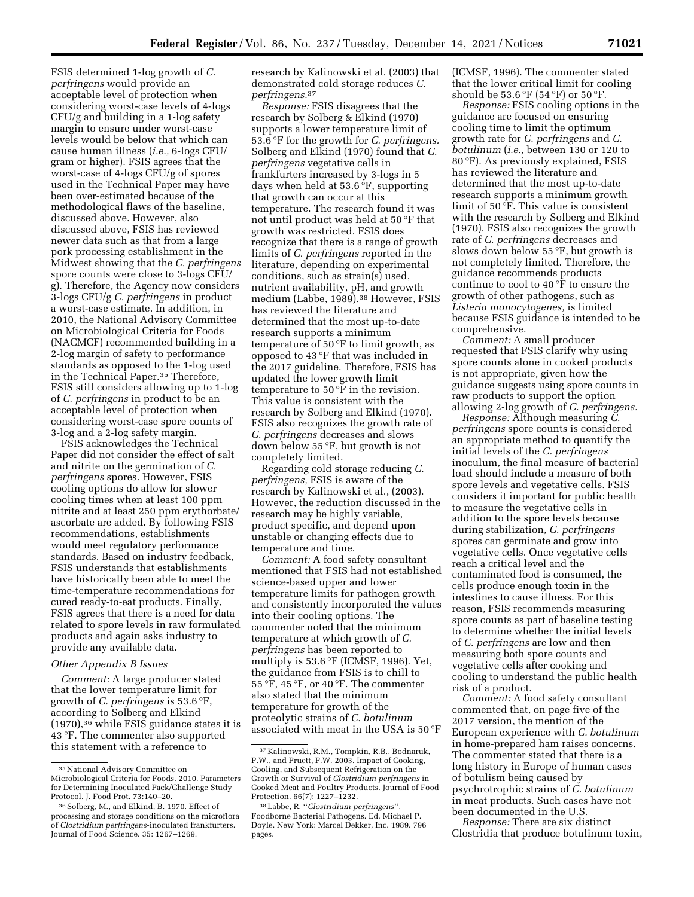FSIS determined 1-log growth of *C. perfringens* would provide an acceptable level of protection when considering worst-case levels of 4-logs CFU/g and building in a 1-log safety margin to ensure under worst-case levels would be below that which can cause human illness (*i.e.,* 6-logs CFU/ gram or higher). FSIS agrees that the worst-case of 4-logs CFU/g of spores used in the Technical Paper may have been over-estimated because of the methodological flaws of the baseline, discussed above. However, also discussed above, FSIS has reviewed newer data such as that from a large pork processing establishment in the Midwest showing that the *C. perfringens*  spore counts were close to 3-logs CFU/ g). Therefore, the Agency now considers 3-logs CFU/g *C. perfringens* in product a worst-case estimate. In addition, in 2010, the National Advisory Committee on Microbiological Criteria for Foods (NACMCF) recommended building in a 2-log margin of safety to performance standards as opposed to the 1-log used in the Technical Paper.35 Therefore, FSIS still considers allowing up to 1-log of *C. perfringens* in product to be an acceptable level of protection when considering worst-case spore counts of 3-log and a 2-log safety margin.

FSIS acknowledges the Technical Paper did not consider the effect of salt and nitrite on the germination of *C. perfringens* spores. However, FSIS cooling options do allow for slower cooling times when at least 100 ppm nitrite and at least 250 ppm erythorbate/ ascorbate are added. By following FSIS recommendations, establishments would meet regulatory performance standards. Based on industry feedback, FSIS understands that establishments have historically been able to meet the time-temperature recommendations for cured ready-to-eat products. Finally, FSIS agrees that there is a need for data related to spore levels in raw formulated products and again asks industry to provide any available data.

# *Other Appendix B Issues*

*Comment:* A large producer stated that the lower temperature limit for growth of *C. perfringens* is 53.6 °F, according to Solberg and Elkind (1970),36 while FSIS guidance states it is 43 °F. The commenter also supported this statement with a reference to

research by Kalinowski et al. (2003) that demonstrated cold storage reduces *C. perfringens.*37

*Response:* FSIS disagrees that the research by Solberg & Elkind (1970) supports a lower temperature limit of 53.6 °F for the growth for *C. perfringens.*  Solberg and Elkind (1970) found that *C. perfringens* vegetative cells in frankfurters increased by 3-logs in 5 days when held at 53.6 °F, supporting that growth can occur at this temperature. The research found it was not until product was held at 50 °F that growth was restricted. FSIS does recognize that there is a range of growth limits of *C. perfringens* reported in the literature, depending on experimental conditions, such as strain(s) used, nutrient availability, pH, and growth medium (Labbe, 1989).38 However, FSIS has reviewed the literature and determined that the most up-to-date research supports a minimum temperature of 50 °F to limit growth, as opposed to 43 °F that was included in the 2017 guideline. Therefore, FSIS has updated the lower growth limit temperature to 50 °F in the revision. This value is consistent with the research by Solberg and Elkind (1970). FSIS also recognizes the growth rate of *C. perfringens* decreases and slows down below 55 °F, but growth is not completely limited.

Regarding cold storage reducing *C. perfringens,* FSIS is aware of the research by Kalinowski et al., (2003). However, the reduction discussed in the research may be highly variable, product specific, and depend upon unstable or changing effects due to temperature and time.

*Comment:* A food safety consultant mentioned that FSIS had not established science-based upper and lower temperature limits for pathogen growth and consistently incorporated the values into their cooling options. The commenter noted that the minimum temperature at which growth of *C. perfringens* has been reported to multiply is 53.6 °F (ICMSF, 1996). Yet, the guidance from FSIS is to chill to 55 °F, 45 °F, or 40 °F. The commenter also stated that the minimum temperature for growth of the proteolytic strains of *C. botulinum*  associated with meat in the USA is 50 °F

(ICMSF, 1996). The commenter stated that the lower critical limit for cooling should be 53.6  $\mathrm{F}$  (54  $\mathrm{F}$ ) or 50  $\mathrm{F}$ .

*Response:* FSIS cooling options in the guidance are focused on ensuring cooling time to limit the optimum growth rate for *C. perfringens* and *C. botulinum* (*i.e.,* between 130 or 120 to 80 °F). As previously explained, FSIS has reviewed the literature and determined that the most up-to-date research supports a minimum growth limit of 50 °F. This value is consistent with the research by Solberg and Elkind (1970). FSIS also recognizes the growth rate of *C. perfringens* decreases and slows down below 55 °F, but growth is not completely limited. Therefore, the guidance recommends products continue to cool to 40 °F to ensure the growth of other pathogens, such as *Listeria monocytogenes,* is limited because FSIS guidance is intended to be comprehensive.

*Comment:* A small producer requested that FSIS clarify why using spore counts alone in cooked products is not appropriate, given how the guidance suggests using spore counts in raw products to support the option allowing 2-log growth of *C. perfringens.* 

*Response:* Although measuring *C. perfringens* spore counts is considered an appropriate method to quantify the initial levels of the *C. perfringens*  inoculum, the final measure of bacterial load should include a measure of both spore levels and vegetative cells. FSIS considers it important for public health to measure the vegetative cells in addition to the spore levels because during stabilization, *C. perfringens*  spores can germinate and grow into vegetative cells. Once vegetative cells reach a critical level and the contaminated food is consumed, the cells produce enough toxin in the intestines to cause illness. For this reason, FSIS recommends measuring spore counts as part of baseline testing to determine whether the initial levels of *C. perfringens* are low and then measuring both spore counts and vegetative cells after cooking and cooling to understand the public health risk of a product.

*Comment:* A food safety consultant commented that, on page five of the 2017 version, the mention of the European experience with *C. botulinum*  in home-prepared ham raises concerns. The commenter stated that there is a long history in Europe of human cases of botulism being caused by psychrotrophic strains of *C. botulinum*  in meat products. Such cases have not been documented in the U.S.

*Response:* There are six distinct Clostridia that produce botulinum toxin,

<sup>35</sup>National Advisory Committee on Microbiological Criteria for Foods. 2010. Parameters for Determining Inoculated Pack/Challenge Study Protocol. J. Food Prot. 73:140–20.

<sup>36</sup>Solberg, M., and Elkind, B. 1970. Effect of processing and storage conditions on the microflora of *Clostridium perfringens*-inoculated frankfurters. Journal of Food Science. 35: 1267–1269.

<sup>37</sup> Kalinowski, R.M., Tompkin, R.B., Bodnaruk, P.W., and Pruett, P.W. 2003. Impact of Cooking, Cooling, and Subsequent Refrigeration on the Growth or Survival of *Clostridium perfringens* in Cooked Meat and Poultry Products. Journal of Food Protection. 66(7): 1227–1232.

<sup>38</sup>Labbe, R. ''*Clostridium perfringens*''. Foodborne Bacterial Pathogens. Ed. Michael P. Doyle. New York: Marcel Dekker, Inc. 1989. 796 pages.